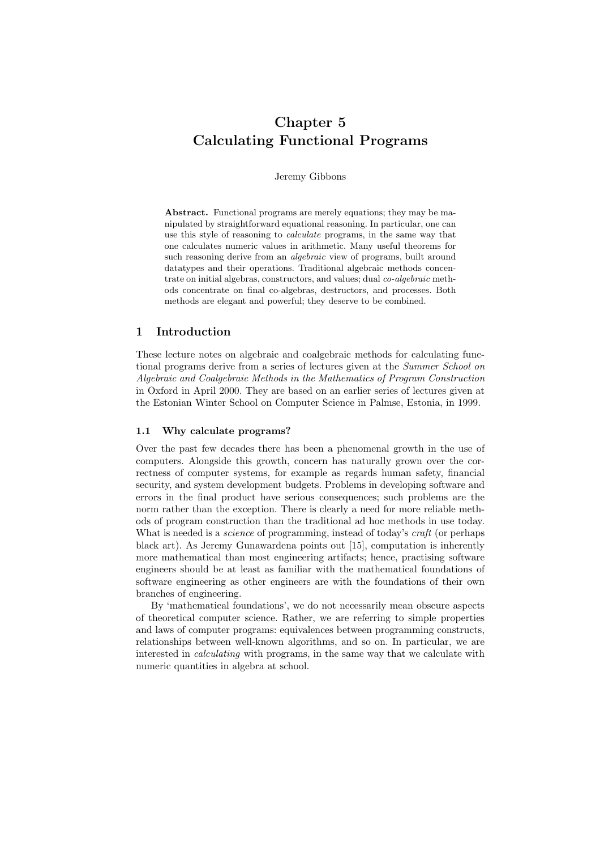# **Chapter 5 Calculating Functional Programs**

### Jeremy Gibbons

Abstract. Functional programs are merely equations; they may be manipulated by straightforward equational reasoning. In particular, one can use this style of reasoning to calculate programs, in the same way that one calculates numeric values in arithmetic. Many useful theorems for such reasoning derive from an *algebraic* view of programs, built around datatypes and their operations. Traditional algebraic methods concentrate on initial algebras, constructors, and values; dual co-algebraic methods concentrate on final co-algebras, destructors, and processes. Both methods are elegant and powerful; they deserve to be combined.

# **1 Introduction**

These lecture notes on algebraic and coalgebraic methods for calculating functional programs derive from a series of lectures given at the *Summer School on Algebraic and Coalgebraic Methods in the Mathematics of Program Construction* in Oxford in April 2000. They are based on an earlier series of lectures given at the Estonian Winter School on Computer Science in Palmse, Estonia, in 1999.

# **1.1 Why calculate programs?**

Over the past few decades there has been a phenomenal growth in the use of computers. Alongside this growth, concern has naturally grown over the correctness of computer systems, for example as regards human safety, financial security, and system development budgets. Problems in developing software and errors in the final product have serious consequences; such problems are the norm rather than the exception. There is clearly a need for more reliable methods of program construction than the traditional ad hoc methods in use today. What is needed is a *science* of programming, instead of today's *craft* (or perhaps black art). As Jeremy Gunawardena points out [15], computation is inherently more mathematical than most engineering artifacts; hence, practising software engineers should be at least as familiar with the mathematical foundations of software engineering as other engineers are with the foundations of their own branches of engineering.

By 'mathematical foundations', we do not necessarily mean obscure aspects of theoretical computer science. Rather, we are referring to simple properties and laws of computer programs: equivalences between programming constructs, relationships between well-known algorithms, and so on. In particular, we are interested in *calculating* with programs, in the same way that we calculate with numeric quantities in algebra at school.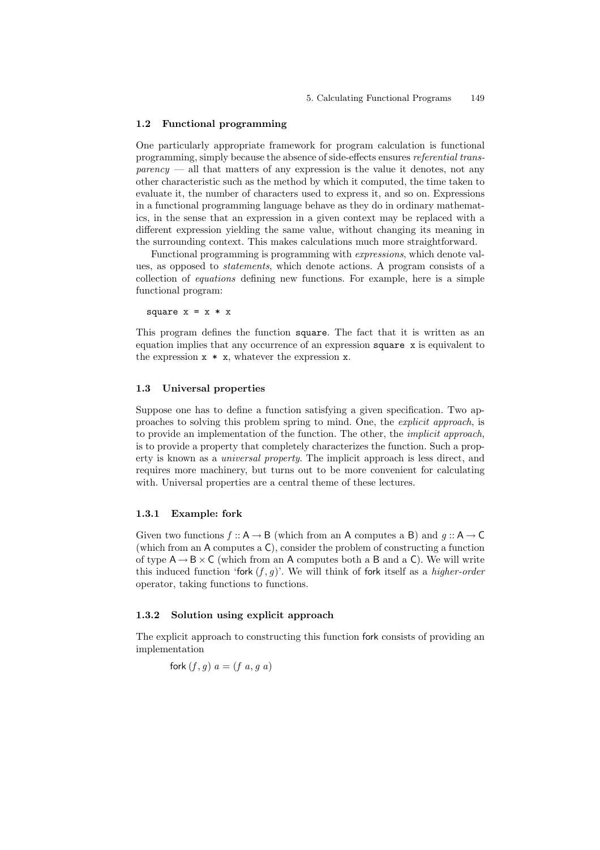#### **1.2 Functional programming**

One particularly appropriate framework for program calculation is functional programming, simply because the absence of side-effects ensures *referential trans-* $\mathit{parentcy}$  — all that matters of any expression is the value it denotes, not any other characteristic such as the method by which it computed, the time taken to evaluate it, the number of characters used to express it, and so on. Expressions in a functional programming language behave as they do in ordinary mathematics, in the sense that an expression in a given context may be replaced with a different expression yielding the same value, without changing its meaning in the surrounding context. This makes calculations much more straightforward.

Functional programming is programming with *expressions*, which denote values, as opposed to *statements*, which denote actions. A program consists of a collection of *equations* defining new functions. For example, here is a simple functional program:

square  $x = x * x$ 

This program defines the function square. The fact that it is written as an equation implies that any occurrence of an expression square x is equivalent to the expression  $x * x$ , whatever the expression x.

### **1.3 Universal properties**

Suppose one has to define a function satisfying a given specification. Two approaches to solving this problem spring to mind. One, the *explicit approach*, is to provide an implementation of the function. The other, the *implicit approach*, is to provide a property that completely characterizes the function. Such a property is known as a *universal property*. The implicit approach is less direct, and requires more machinery, but turns out to be more convenient for calculating with. Universal properties are a central theme of these lectures.

## **1.3.1 Example: fork**

Given two functions  $f: A \to B$  (which from an A computes a B) and  $q: A \to C$ (which from an A computes a C), consider the problem of constructing a function of type  $A \rightarrow B \times C$  (which from an A computes both a B and a C). We will write this induced function 'fork  $(f, q)$ '. We will think of fork itself as a *higher-order* operator, taking functions to functions.

# **1.3.2 Solution using explicit approach**

The explicit approach to constructing this function fork consists of providing an implementation

fork  $(f, q)$   $a = (f, a, q, a)$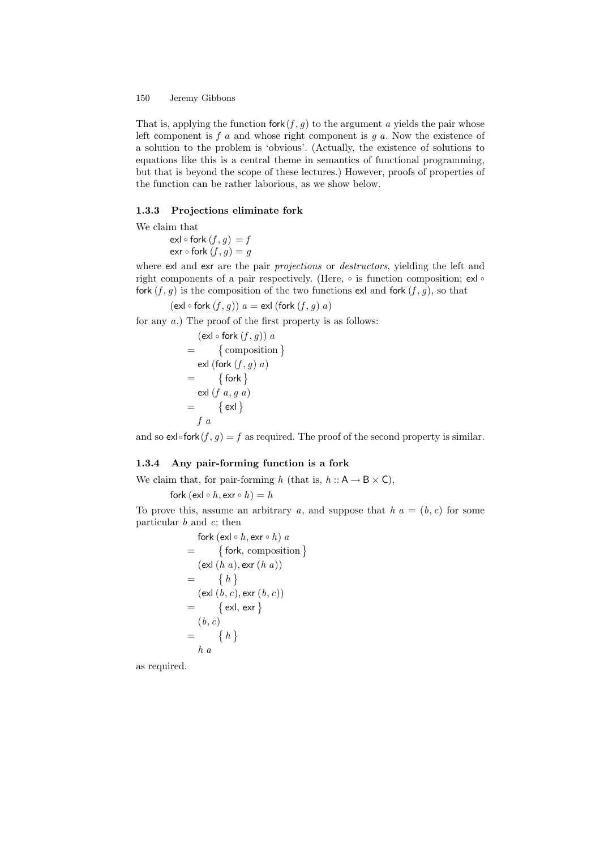That is, applying the function fork $(f, g)$  to the argument *a* yields the pair whose left component is *f a* and whose right component is *g a*. Now the existence of a solution to the problem is 'obvious'. (Actually, the existence of solutions to equations like this is a central theme in semantics of functional programming, but that is beyond the scope of these lectures.) However, proofs of properties of the function can be rather laborious, as we show below.

### **1.3.3 Projections eliminate fork**

#### We claim that

exl  $\circ$  fork  $(f, g) = f$ exr  $\circ$  fork  $(f, g) = g$ 

where exl and exr are the pair *projections* or *destructors*, yielding the left and right components of a pair respectively. (Here, ◦ is function composition; exl ◦ fork  $(f, g)$  is the composition of the two functions exl and fork  $(f, g)$ , so that

$$
(\text{exl} \circ \text{fork} (f, g)) a = \text{exl} (\text{fork} (f, g) a)
$$

for any *a*.) The proof of the first property is as follows:

$$
\begin{aligned}\n(\text{exl} \circ \text{fork} \,(f,g)) \, a \\
&= \quad \{ \text{composition} \} \\
\text{exl} \, (\text{fork} \,(f,g) \, a) \\
&= \quad \{ \text{fork} \} \\
\text{exl} \, (f \, a, g \, a) \\
&= \quad \{ \, \text{exl} \} \\
f \, a\n\end{aligned}
$$

and so  $ext{exl} \circ \text{fork}(f, g) = f$  as required. The proof of the second property is similar.

# **1.3.4 Any pair-forming function is a fork**

We claim that, for pair-forming *h* (that is,  $h$  ::  $A \rightarrow B \times C$ ),

fork  $(\text{exl} \circ h, \text{exr} \circ h) = h$ 

To prove this, assume an arbitrary *a*, and suppose that  $h a = (b, c)$  for some particular *b* and *c*; then

$$
fork (exl \circ h, exr \circ h) a
$$
  
= {fork, composition}  

$$
(exl (h a), exr (h a))
$$
  
= {h}  

$$
(exl (b, c), exr (b, c))
$$
  
= {exl, exr}  

$$
(b, c)
$$
  
= {h}  

$$
h a
$$

as required.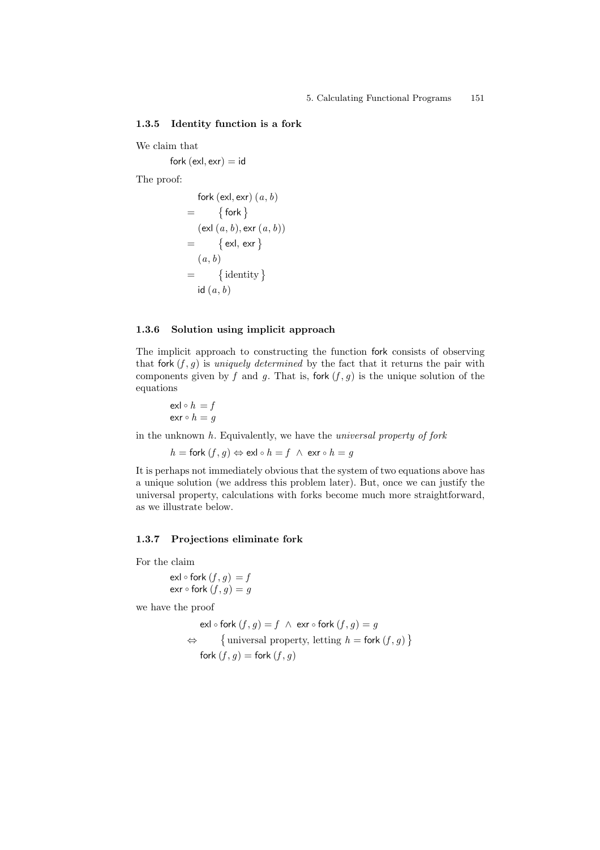# **1.3.5 Identity function is a fork**

We claim that

fork  $(exl, exr) = id$ 

The proof:

$$
fork (exl, exr) (a, b)
$$
\n
$$
= { fork }
$$
\n
$$
(exl (a, b), exr (a, b))
$$
\n
$$
= { exl, exr }
$$
\n
$$
(a, b)
$$
\n
$$
= { (a, b) }
$$
\n
$$
id (a, b)
$$

# **1.3.6 Solution using implicit approach**

The implicit approach to constructing the function fork consists of observing that fork  $(f, g)$  is *uniquely determined* by the fact that it returns the pair with components given by  $f$  and  $g$ . That is, fork  $(f, g)$  is the unique solution of the equations

exl  $\circ h = f$ exr  $\circ h = q$ 

in the unknown *h*. Equivalently, we have the *universal property of fork*

 $h =$  fork  $(f, q) \Leftrightarrow$  exl ◦  $h = f \wedge$  exr ◦  $h = q$ 

It is perhaps not immediately obvious that the system of two equations above has a unique solution (we address this problem later). But, once we can justify the universal property, calculations with forks become much more straightforward, as we illustrate below.

# **1.3.7 Projections eliminate fork**

For the claim

exl ∘ fork  $(f, g) = f$ exr  $\circ$  fork  $(f, g) = g$ 

we have the proof

$$
\begin{aligned}\n\text{exl} \circ \text{fork}(f,g) &= f \ \land \ \text{exr} \circ \text{fork}(f,g) = g \\
&\leftrightarrow \quad \left\{\text{universal property, letting } h = \text{fork}(f,g) \right\} \\
\text{fork}(f,g) &= \text{fork}(f,g)\n\end{aligned}
$$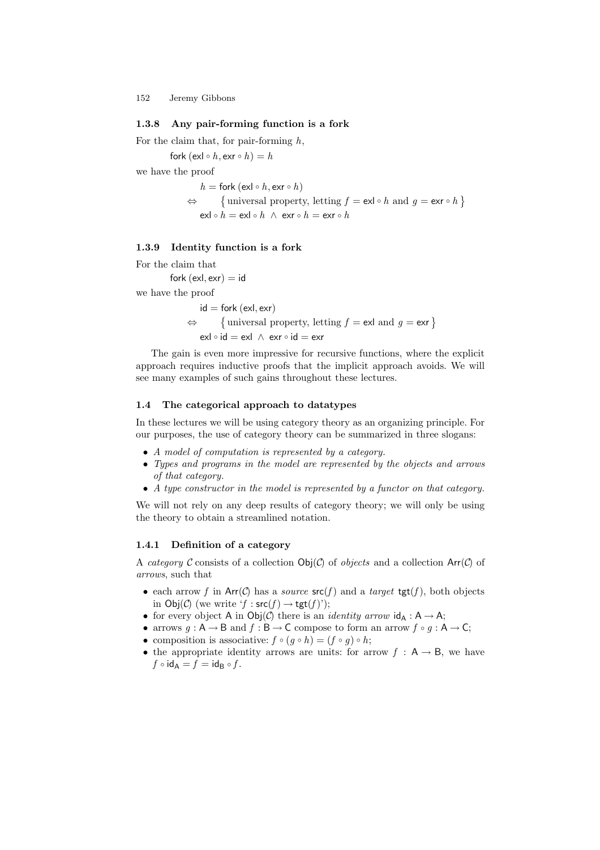# **1.3.8 Any pair-forming function is a fork**

For the claim that, for pair-forming *h*,

fork  $(\text{exl} \circ h, \text{exr} \circ h) = h$ 

we have the proof

 $h =$  fork (exl ∘ *h*, exr ∘ *h*)  $\Leftrightarrow$  {universal property, letting  $f = \text{exl} \circ h$  and  $g = \text{exr} \circ h$ } exl ∘ *h* = exl ∘ *h* ∧ exr ∘ *h* = exr ∘ *h* 

# **1.3.9 Identity function is a fork**

For the claim that

fork  $(exl, exr) = id$ 

we have the proof

 $id =$  fork  $(exl, exr)$ 

 $\Leftrightarrow$  {universal property, letting  $f = \text{exl}$  and  $g = \text{exr}$ } exl ∘ id = exl ∧ exr ∘ id = exr

The gain is even more impressive for recursive functions, where the explicit approach requires inductive proofs that the implicit approach avoids. We will see many examples of such gains throughout these lectures.

### **1.4 The categorical approach to datatypes**

In these lectures we will be using category theory as an organizing principle. For our purposes, the use of category theory can be summarized in three slogans:

- *A model of computation is represented by a category.*
- *Types and programs in the model are represented by the objects and arrows of that category.*
- *A type constructor in the model is represented by a functor on that category.*

We will not rely on any deep results of category theory; we will only be using the theory to obtain a streamlined notation.

# **1.4.1 Definition of a category**

A *category* C consists of a collection Obj(C) of *objects* and a collection Arr(C) of *arrows*, such that

- each arrow f in  $Arr(C)$  has a *source*  $src(f)$  and a *target*  $tgt(f)$ , both objects in  $Obj(\mathcal{C})$  (we write '*f* :  $src(f) \rightarrow \text{tgt}(f)$ ');
- for every object A in  $Obj(\mathcal{C})$  there is an *identity arrow*  $id_A : A \rightarrow A$ ;
- arrows  $g : A \to B$  and  $f : B \to C$  compose to form an arrow  $f \circ g : A \to C$ ;
- composition is associative:  $f \circ (g \circ h) = (f \circ g) \circ h;$
- the appropriate identity arrows are units: for arrow  $f : A \rightarrow B$ , we have  $f \circ id_A = f = id_B \circ f.$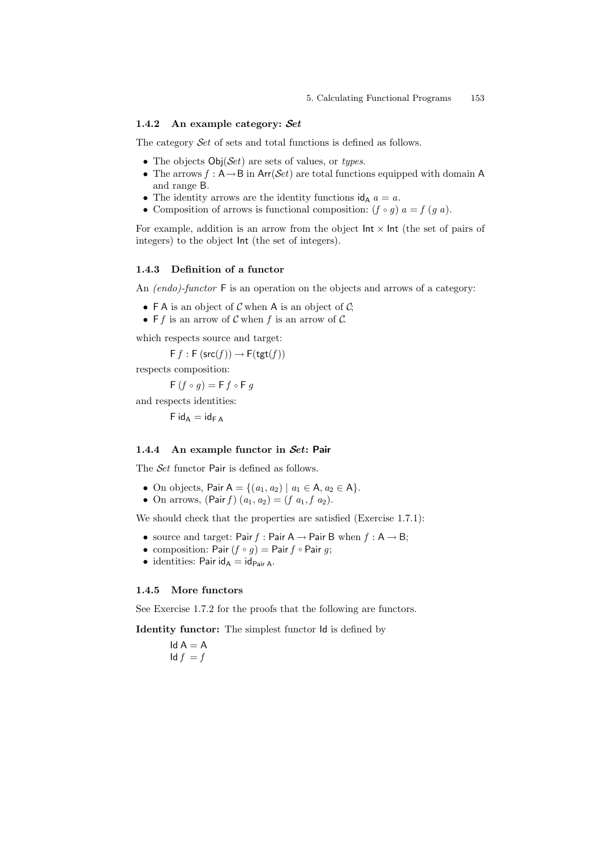### **1.4.2 An example category:** *Set*

The category S*et* of sets and total functions is defined as follows.

- The objects Obj(S*et*) are sets of values, or *types*.
- The arrows  $f : A \rightarrow B$  in  $Arr(Set)$  are total functions equipped with domain A and range B.
- The identity arrows are the identity functions  $\mathsf{id}_A a = a$ .
- Composition of arrows is functional composition:  $(f \circ g)$   $a = f(g a)$ .

For example, addition is an arrow from the object  $Int \times Int$  (the set of pairs of integers) to the object Int (the set of integers).

#### **1.4.3 Definition of a functor**

An *(endo)-functor* F is an operation on the objects and arrows of a category:

- F A is an object of  $C$  when A is an object of  $C$ ;
- F  $f$  is an arrow of  $C$  when  $f$  is an arrow of  $C$ .

which respects source and target:

$$
\mathsf{F} f : \mathsf{F}(\mathsf{src}(f)) \to \mathsf{F}(\mathsf{tgt}(f))
$$

respects composition:

 $F(f \circ g) = F f \circ F g$ 

and respects identities:

 $F id_A = id_{FA}$ 

# **1.4.4 An example functor in** *Set***: Pair**

The S*et* functor Pair is defined as follows.

- On objects, Pair  $A = \{(a_1, a_2) | a_1 \in A, a_2 \in A\}.$
- On arrows,  $(\text{Pair } f)(a_1, a_2) = (f a_1, f a_2).$

We should check that the properties are satisfied (Exercise 1.7.1):

- source and target: Pair  $f :$  Pair  $A \rightarrow$  Pair B when  $f : A \rightarrow B$ ;
- composition: Pair  $(f \circ g) =$  Pair  $f \circ$  Pair  $g$ ;
- identities: Pair  $id_A = id_{Pair A}$ .

# **1.4.5 More functors**

See Exercise 1.7.2 for the proofs that the following are functors.

**Identity functor:** The simplest functor Id is defined by

 $Id A = A$ Id  $f = f$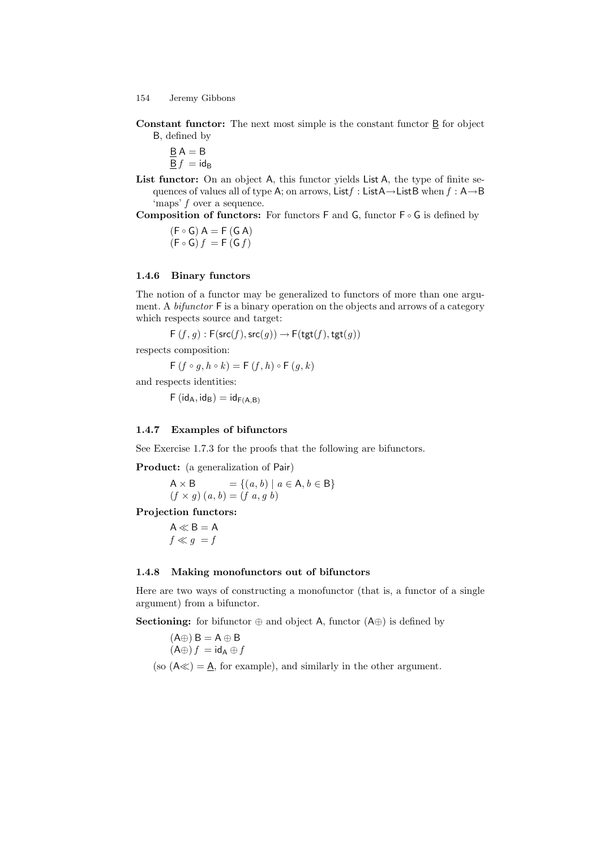**Constant functor:** The next most simple is the constant functor B for object B, defined by

 $BA = B$  $\underline{B} f = id_{B}$ 

- List functor: On an object A, this functor yields List A, the type of finite sequences of values all of type A; on arrows, List*f* : ListA→ListB when *f* : A→B 'maps' *f* over a sequence.
- Composition of functors: For functors F and G, functor F ∘ G is defined by  $(F \circ G) A = F(G A)$

$$
(\mathsf{F} \circ \mathsf{G})f = \mathsf{F}(\mathsf{G}f)
$$

# **1.4.6 Binary functors**

The notion of a functor may be generalized to functors of more than one argument. A *bifunctor* F is a binary operation on the objects and arrows of a category which respects source and target:

 $F(f, g) : F(\text{src}(f), \text{src}(g)) \rightarrow F(\text{tgt}(f), \text{tgt}(g))$ 

respects composition:

 $F(f \circ g, h \circ k) = F(f, h) \circ F(g, k)$ 

and respects identities:

 $F(id_A, id_B) = id_{F(A,B)}$ 

# **1.4.7 Examples of bifunctors**

See Exercise 1.7.3 for the proofs that the following are bifunctors.

**Product:** (a generalization of Pair)

 $A \times B = \{(a, b) | a \in A, b \in B\}$  $(f \times g)(a, b) = (f \ a, g \ b)$ 

**Projection functors:**

$$
\mathsf{A} \ll \mathsf{B} = \mathsf{A}
$$
  

$$
f \ll g = f
$$

# **1.4.8 Making monofunctors out of bifunctors**

Here are two ways of constructing a monofunctor (that is, a functor of a single argument) from a bifunctor.

**Sectioning:** for bifunctor ⊕ and object A, functor (A⊕) is defined by

$$
(A \oplus) B = A \oplus B
$$
  

$$
(A \oplus) f = id_1 \oplus f_2
$$

- $(A \oplus)f = id_A \oplus f$
- (so  $(A \ll) = \underline{A}$ , for example), and similarly in the other argument.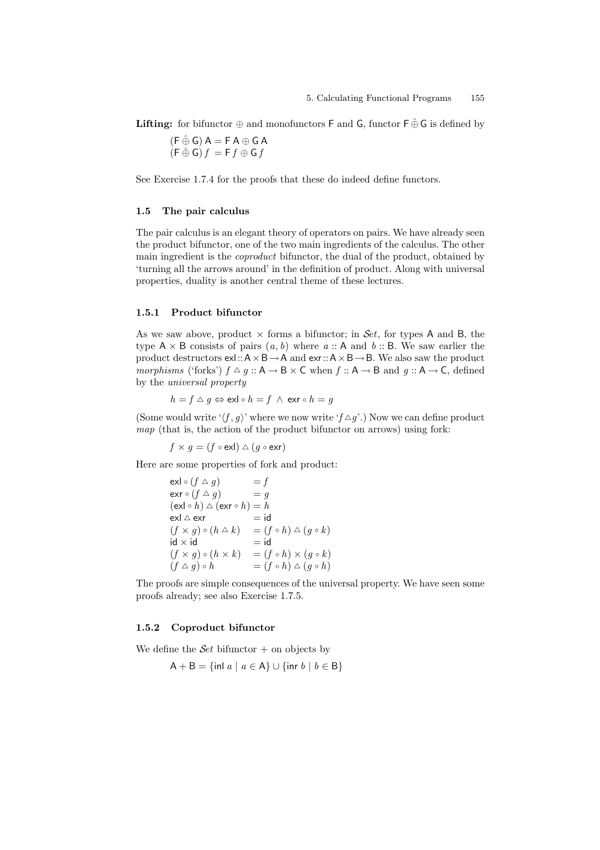**Lifting:** for bifunctor  $\oplus$  and monofunctors **F** and **G**, functor **F** $\oplus$ **G** is defined by

$$
(\mathsf{F} \,\hat{\oplus}\, \mathsf{G})\,\mathsf{A} = \mathsf{F}\,\mathsf{A} \oplus \mathsf{G}\,\mathsf{A} (\mathsf{F} \,\hat{\oplus}\, \mathsf{G})\,f = \mathsf{F}\,f \oplus \mathsf{G}\,f
$$

See Exercise 1.7.4 for the proofs that these do indeed define functors.

#### **1.5 The pair calculus**

The pair calculus is an elegant theory of operators on pairs. We have already seen the product bifunctor, one of the two main ingredients of the calculus. The other main ingredient is the *coproduct* bifunctor, the dual of the product, obtained by 'turning all the arrows around' in the definition of product. Along with universal properties, duality is another central theme of these lectures.

#### **1.5.1 Product bifunctor**

As we saw above, product  $\times$  forms a bifunctor; in Set, for types A and B, the type  $A \times B$  consists of pairs  $(a, b)$  where  $a :: A$  and  $b :: B$ . We saw earlier the product destructors  $ext{exl}::A \times B \rightarrow A$  and  $ext{exr}::A \times B \rightarrow B$ . We also saw the product *morphisms* ('forks')  $f \triangle g :: A \rightarrow B \times C$  when  $f :: A \rightarrow B$  and  $g :: A \rightarrow C$ , defined by the *universal property*

 $h = f \triangle g \Leftrightarrow \mathsf{exl} \circ h = f \ \wedge \ \mathsf{exr} \circ h = g$ 

(Some would write ' $\langle f, g \rangle$ ' where we now write ' $f \triangle g'$ .) Now we can define product *map* (that is, the action of the product bifunctor on arrows) using fork:

 $f \times g = (f \circ \mathsf{exl}) \wedge (g \circ \mathsf{exr})$ 

Here are some properties of fork and product:

```
ext{exl} \circ (f \triangle g) = f
\mathsf{exr} \circ (f \triangle g) = g
(\mathsf{exl} \circ h) \wedge (\mathsf{exr} \circ h) = hext{exr} = id(f \times g) \circ (h \triangle k) = (f \circ h) \triangle (g \circ k)id \times id = id
(f \times g) \circ (h \times k) = (f \circ h) \times (g \circ k)(f \triangle g) \circ h = (f \circ h) \triangle (g \circ h)
```
The proofs are simple consequences of the universal property. We have seen some proofs already; see also Exercise 1.7.5.

# **1.5.2 Coproduct bifunctor**

We define the  $\mathcal{S}et$  bifunctor  $+$  on objects by

 $A + B = \{ \text{inl } a \mid a \in A \} \cup \{ \text{inr } b \mid b \in B \}$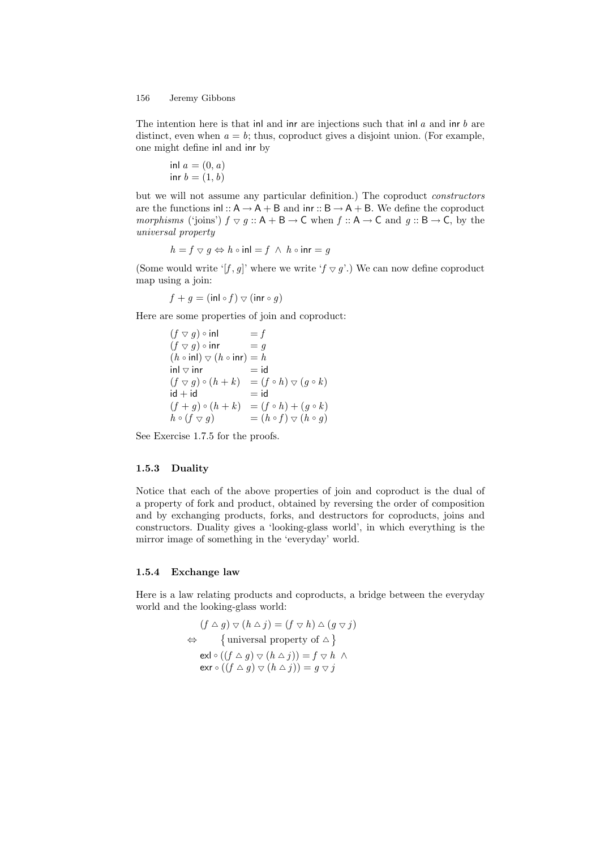The intention here is that inl and inr are injections such that inl *a* and inr *b* are distinct, even when  $a = b$ ; thus, coproduct gives a disjoint union. (For example, one might define inl and inr by

$$
inl a = (0, a)
$$
  
inr b = (1, b)

but we will not assume any particular definition.) The coproduct *constructors* are the functions inl ::  $A \rightarrow A + B$  and inr ::  $B \rightarrow A + B$ . We define the coproduct *morphisms* ('joins')  $f \nabla q :: A + B \rightarrow C$  when  $f :: A \rightarrow C$  and  $q :: B \rightarrow C$ , by the *universal property*

$$
h = f \bigtriangledown g \Leftrightarrow h \circ \mathsf{inl} = f \ \wedge \ h \circ \mathsf{inr} = g
$$

(Some would write ' $[f, g]$ ' where we write ' $f \nabla g$ '.) We can now define coproduct map using a join:

$$
f + g = (\mathsf{inl} \circ f) \vee (\mathsf{inr} \circ g)
$$

Here are some properties of join and coproduct:

```
(f \vee g) \circ \text{inl} = f<br>
(f \vee g) \circ \text{inr} = g
(f \vee g) \circ \mathsf{inr}(h \circ \text{inl}) \vee (h \circ \text{inr}) = h\mathsf{inl} \triangledown \mathsf{inr} = id
(f \vee g) \circ (h + k) = (f \circ h) \vee (g \circ k)id + id = id(f + g) \circ (h + k) = (f \circ h) + (g \circ k)h \circ (f \vee g) = (h \circ f) \vee (h \circ g)
```
See Exercise 1.7.5 for the proofs.

# **1.5.3 Duality**

Notice that each of the above properties of join and coproduct is the dual of a property of fork and product, obtained by reversing the order of composition and by exchanging products, forks, and destructors for coproducts, joins and constructors. Duality gives a 'looking-glass world', in which everything is the mirror image of something in the 'everyday' world.

### **1.5.4 Exchange law**

Here is a law relating products and coproducts, a bridge between the everyday world and the looking-glass world:

$$
(f \triangle g) \triangledown (h \triangle j) = (f \triangledown h) \triangle (g \triangledown j)
$$
  
\n
$$
\Leftrightarrow \{ \text{universal property of } \triangle \}
$$
  
\n
$$
\text{exl} \circ ((f \triangle g) \triangledown (h \triangle j)) = f \triangledown h \wedge
$$
  
\n
$$
\text{exr} \circ ((f \triangle g) \triangledown (h \triangle j)) = g \triangledown j
$$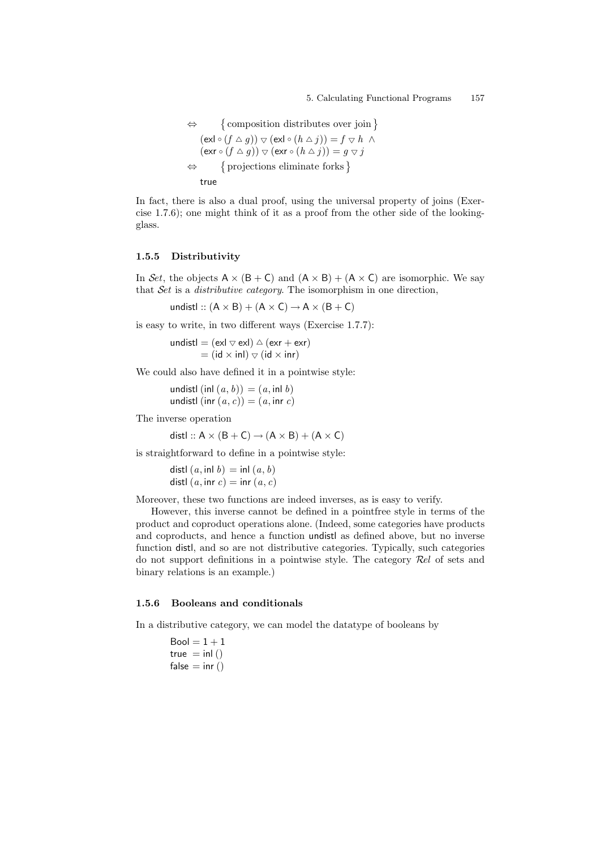$$
\Leftrightarrow \{ \text{composition distributes over join} \}
$$
  
\n
$$
(\text{exl} \circ (f \triangle g)) \triangledown (\text{exl} \circ (h \triangle j)) = f \triangledown h \wedge
$$
  
\n
$$
(\text{exr} \circ (f \triangle g)) \triangledown (\text{exr} \circ (h \triangle j)) = g \triangledown j
$$
  
\n
$$
\Leftrightarrow \{ \text{projections eliminate forks} \}
$$
  
\ntrue

In fact, there is also a dual proof, using the universal property of joins (Exercise 1.7.6); one might think of it as a proof from the other side of the lookingglass.

### **1.5.5 Distributivity**

In Set, the objects  $A \times (B + C)$  and  $(A \times B) + (A \times C)$  are isomorphic. We say that S*et* is a *distributive category*. The isomorphism in one direction,

undistl ::  $(A \times B) + (A \times C) \rightarrow A \times (B + C)$ 

is easy to write, in two different ways (Exercise 1.7.7):

undistl =  $(exl \vee exl) \triangle (exr + exr)$  $=$  (id  $\times$  inl)  $\triangledown$  (id  $\times$  inr)

We could also have defined it in a pointwise style:

undistl  $(\text{inl } (a, b)) = (a, \text{inl } b)$ undistl (inr  $(a, c)$ ) =  $(a, \text{inr } c)$ 

The inverse operation

distl ::  $A \times (B + C) \rightarrow (A \times B) + (A \times C)$ 

is straightforward to define in a pointwise style:

distl  $(a, \text{inl } b) = \text{inl } (a, b)$ distl  $(a, \text{inr } c) = \text{inr } (a, c)$ 

Moreover, these two functions are indeed inverses, as is easy to verify.

However, this inverse cannot be defined in a pointfree style in terms of the product and coproduct operations alone. (Indeed, some categories have products and coproducts, and hence a function undistl as defined above, but no inverse function distl, and so are not distributive categories. Typically, such categories do not support definitions in a pointwise style. The category R*el* of sets and binary relations is an example.)

# **1.5.6 Booleans and conditionals**

In a distributive category, we can model the datatype of booleans by

 $Bool = 1 + 1$ true  $=$  inl  $()$ false  $=$  inr  $()$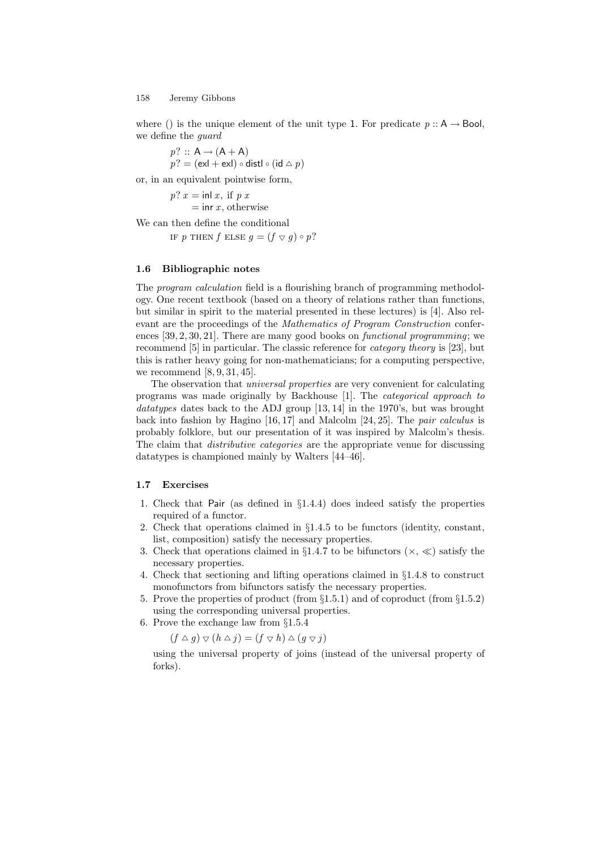where () is the unique element of the unit type 1. For predicate  $p$  :: A  $\rightarrow$  Bool, we define the *guard*

 $p? :: A \rightarrow (A + A)$  $p?=(\mathsf{exl}+\mathsf{exl})\circ\mathsf{distl}\circ(\mathsf{id}\mathbin{\scriptstyle{\triangle}} p)$ 

or, in an equivalent pointwise form,

 $p$ ?  $x = \text{inl } x$ , if  $p x$  $=$  inr *x*, otherwise

We can then define the conditional

IF *p* THEN *f* ELSE  $q = (f \vee q) \circ p$ ?

# **1.6 Bibliographic notes**

The *program calculation* field is a flourishing branch of programming methodology. One recent textbook (based on a theory of relations rather than functions, but similar in spirit to the material presented in these lectures) is [4]. Also relevant are the proceedings of the *Mathematics of Program Construction* conferences [39, 2, 30, 21]. There are many good books on *functional programming*; we recommend [5] in particular. The classic reference for *category theory* is [23], but this is rather heavy going for non-mathematicians; for a computing perspective, we recommend [8, 9, 31, 45].

The observation that *universal properties* are very convenient for calculating programs was made originally by Backhouse [1]. The *categorical approach to datatypes* dates back to the ADJ group [13, 14] in the 1970's, but was brought back into fashion by Hagino [16, 17] and Malcolm [24, 25]. The *pair calculus* is probably folklore, but our presentation of it was inspired by Malcolm's thesis. The claim that *distributive categories* are the appropriate venue for discussing datatypes is championed mainly by Walters [44–46].

# **1.7 Exercises**

- 1. Check that Pair (as defined in  $\S1.4.4$ ) does indeed satisfy the properties required of a functor.
- 2. Check that operations claimed in §1.4.5 to be functors (identity, constant, list, composition) satisfy the necessary properties.
- 3. Check that operations claimed in §1.4.7 to be bifunctors ( $\times$ ,  $\ll$ ) satisfy the necessary properties.
- 4. Check that sectioning and lifting operations claimed in §1.4.8 to construct monofunctors from bifunctors satisfy the necessary properties.
- 5. Prove the properties of product (from §1.5.1) and of coproduct (from §1.5.2) using the corresponding universal properties.
- 6. Prove the exchange law from §1.5.4

$$
(f \triangle g) \triangledown (h \triangle j) = (f \triangledown h) \triangle (g \triangledown j)
$$

using the universal property of joins (instead of the universal property of forks).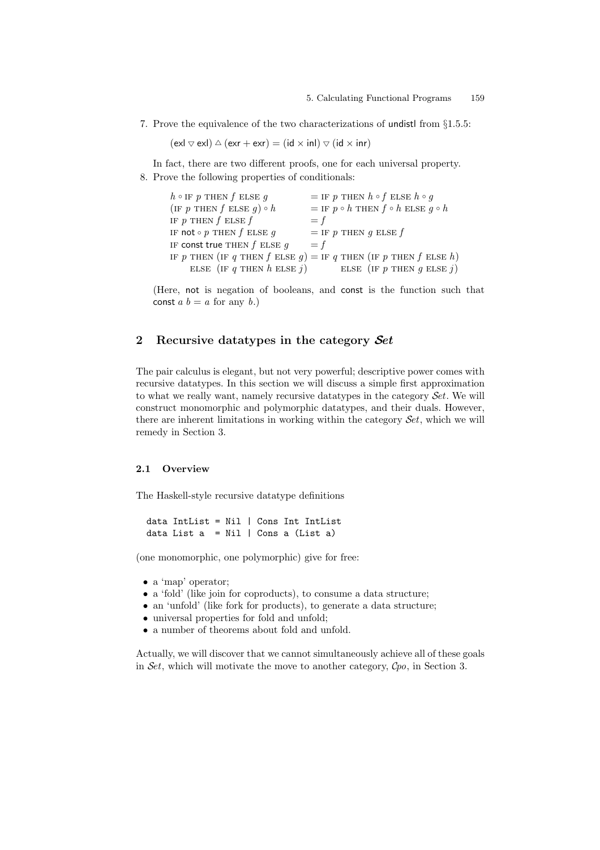7. Prove the equivalence of the two characterizations of undistl from §1.5.5:

 $(\text{exl} \vee \text{exl}) \wedge (\text{exr} + \text{exr}) = (\text{id} \times \text{inl}) \vee (\text{id} \times \text{inr})$ 

In fact, there are two different proofs, one for each universal property. 8. Prove the following properties of conditionals:

```
h \circ \text{IF } p \text{ THEN } f \text{ ELSE } g = IF p THEN h \circ f \text{ ELSE } h \circ g<br>(IF p THEN f \text{ ELSE } q) ∘ h = IF p ∘ h THEN f \circ h ELSE q
                                        = IF p \circ h THEN f \circ h ELSE q \circ hIF p THEN f ELSE f = fIF not \circ p THEN f ELSE g = IF p THEN g ELSE f
IF const true THEN f ELSE q = fIF p THEN (IF q THEN f ELSE g) = IF q THEN (IF p THEN f ELSE h)
     ELSE (IF q THEN h ELSE j)
                                                 ELSE (IF p THEN q ELSE j)
```
(Here, not is negation of booleans, and const is the function such that const  $a b = a$  for any  $b$ .)

# **2 Recursive datatypes in the category** *Set*

The pair calculus is elegant, but not very powerful; descriptive power comes with recursive datatypes. In this section we will discuss a simple first approximation to what we really want, namely recursive datatypes in the category S*et*. We will construct monomorphic and polymorphic datatypes, and their duals. However, there are inherent limitations in working within the category S*et*, which we will remedy in Section 3.

# **2.1 Overview**

The Haskell-style recursive datatype definitions

data IntList = Nil | Cons Int IntList data List  $a = Nil | Cons a (List a)$ 

(one monomorphic, one polymorphic) give for free:

- a 'map' operator;
- a 'fold' (like join for coproducts), to consume a data structure;
- an 'unfold' (like fork for products), to generate a data structure;
- universal properties for fold and unfold;
- a number of theorems about fold and unfold.

Actually, we will discover that we cannot simultaneously achieve all of these goals in  $Set$ , which will motivate the move to another category,  $C_{p0}$ , in Section 3.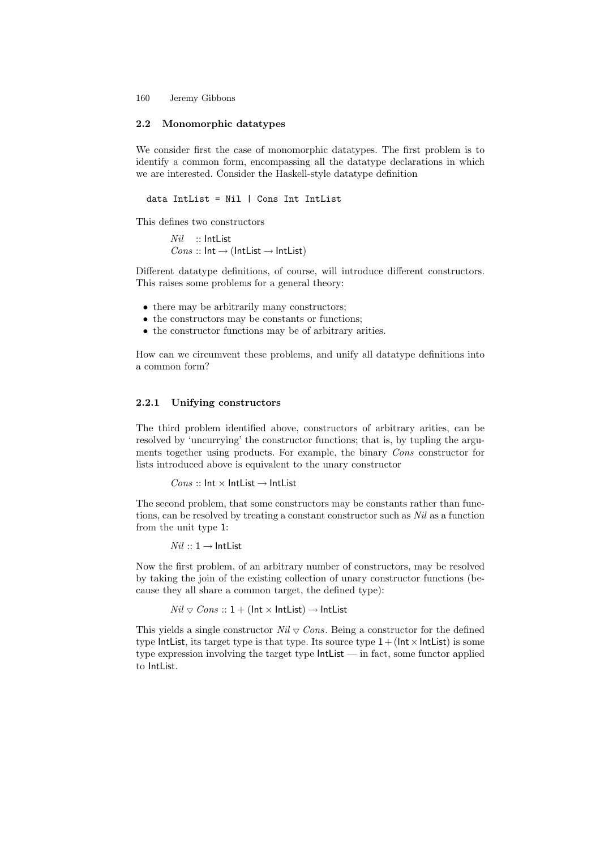#### **2.2 Monomorphic datatypes**

We consider first the case of monomorphic datatypes. The first problem is to identify a common form, encompassing all the datatype declarations in which we are interested. Consider the Haskell-style datatype definition

```
data IntList = Nil | Cons Int IntList
```
This defines two constructors

*Nil* :: IntList  $Cons::Int \rightarrow (IntList \rightarrow IntList)$ 

Different datatype definitions, of course, will introduce different constructors. This raises some problems for a general theory:

- there may be arbitrarily many constructors;
- the constructors may be constants or functions;
- the constructor functions may be of arbitrary arities.

How can we circumvent these problems, and unify all datatype definitions into a common form?

# **2.2.1 Unifying constructors**

The third problem identified above, constructors of arbitrary arities, can be resolved by 'uncurrying' the constructor functions; that is, by tupling the arguments together using products. For example, the binary *Cons* constructor for lists introduced above is equivalent to the unary constructor

 $Cons::Int \times IntList \rightarrow IntList$ 

The second problem, that some constructors may be constants rather than functions, can be resolved by treating a constant constructor such as *Nil* as a function from the unit type 1:

 $Nil :: 1 \rightarrow$  IntList

Now the first problem, of an arbitrary number of constructors, may be resolved by taking the join of the existing collection of unary constructor functions (because they all share a common target, the defined type):

 $Nil \triangledown Cons :: 1 + (Int \times IntList) \rightarrow IntList$ 

This yields a single constructor  $Nil \nabla \text{Cons.}$  Being a constructor for the defined type Intlist, its target type is that type. Its source type  $1 + (\text{Int} \times \text{IntList})$  is some type expression involving the target type IntList — in fact, some functor applied to IntList.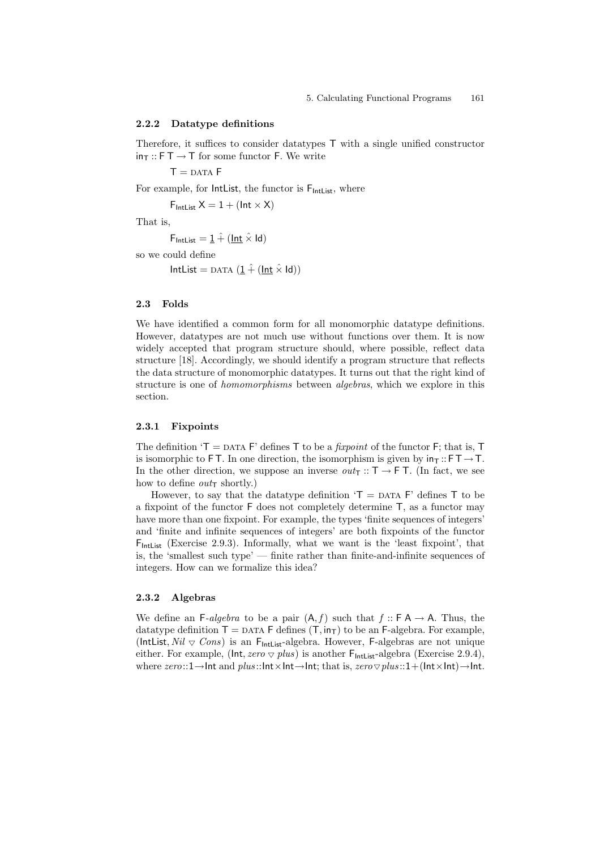#### **2.2.2 Datatype definitions**

Therefore, it suffices to consider datatypes T with a single unified constructor  $in_{\mathsf{T}}$ ::  $\mathsf{F} \mathsf{T} \to \mathsf{T}$  for some functor F. We write

 $T =$  data  $F$ 

For example, for Intlist, the functor is  $F_{\text{IntList}}$ , where

 $F_{\text{Intl ist}} X = 1 + (\text{Int} \times X)$ 

That is,

 $F_{\text{IntList}} = \underline{1} + (\text{Int } \hat{\times} \text{Id})$ 

so we could define

 $IntList = DATA (1 + (Int \hat{\times} Id))$ 

# **2.3 Folds**

We have identified a common form for all monomorphic datatype definitions. However, datatypes are not much use without functions over them. It is now widely accepted that program structure should, where possible, reflect data structure [18]. Accordingly, we should identify a program structure that reflects the data structure of monomorphic datatypes. It turns out that the right kind of structure is one of *homomorphisms* between *algebras*, which we explore in this section.

### **2.3.1 Fixpoints**

The definition  $T = DATA F'$  defines T to be a *fixpoint* of the functor F; that is, T is isomorphic to FT. In one direction, the isomorphism is given by  $in_{T}$ :FT $\rightarrow$ T. In the other direction, we suppose an inverse  $out_{\mathsf{T}}$  ::  $\mathsf{T} \to \mathsf{F} \mathsf{T}$ . (In fact, we see how to define  $out_{\mathsf{T}}$  shortly.)

However, to say that the datatype definition  $\mathcal{T} = \text{DATA } F$  defines T to be a fixpoint of the functor F does not completely determine T, as a functor may have more than one fixpoint. For example, the types 'finite sequences of integers' and 'finite and infinite sequences of integers' are both fixpoints of the functor  $F<sub>Int</sub>$ <sub>ist</sub> (Exercise 2.9.3). Informally, what we want is the 'least fixpoint', that is, the 'smallest such type' — finite rather than finite-and-infinite sequences of integers. How can we formalize this idea?

### **2.3.2 Algebras**

We define an F-algebra to be a pair  $(A, f)$  such that  $f : F A \rightarrow A$ . Thus, the datatype definition  $T = \text{DATA } F$  defines  $(T, \text{in}_T)$  to be an F-algebra. For example, (Intlist,  $Nil \nabla Cons$ ) is an  $F_{\text{Intlist}}$ -algebra. However, F-algebras are not unique either. For example, ( $Int, zero \triangledown plus$ ) is another  $F_{IntList}$ -algebra (Exercise 2.9.4), where *zero*::1→Int and *plus* ::Int×Int→Int; that is, *zeroplus* ::1+(Int×Int)→Int.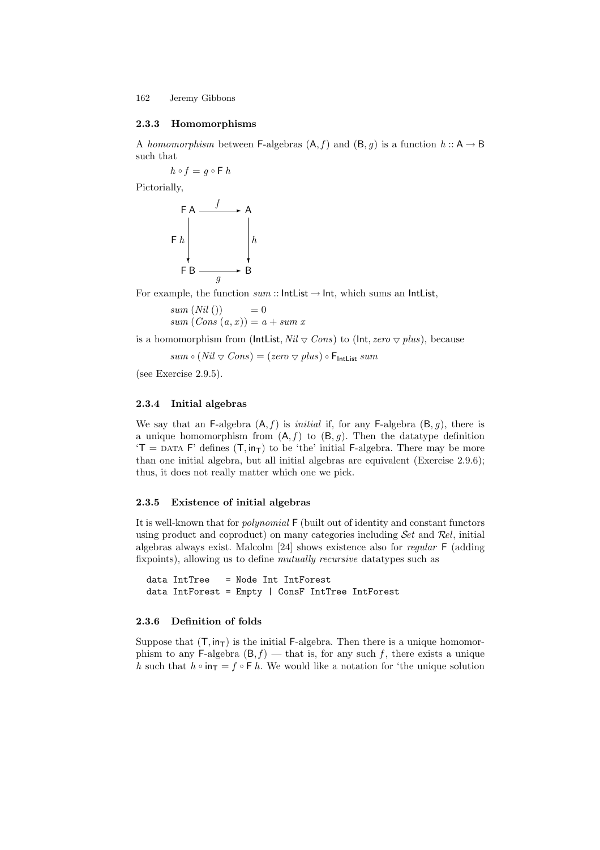### **2.3.3 Homomorphisms**

A *homomorphism* between F-algebras  $(A, f)$  and  $(B, g)$  is a function  $h : A \rightarrow B$ such that

*h* ◦  $f = g ∘ F h$ 

Pictorially,



For example, the function  $sum$  :: IntList  $\rightarrow$  Int, which sums an IntList,

 $sum(Nil()$  = 0  $sum (Cons (a, x)) = a + sum x$ 

is a homomorphism from (Intlist,  $Nil \nabla Cons$ ) to (Int, *zero*  $\nabla plus$ ), because

 $sum \circ (Nil \triangledown Cons) = (zero \triangledown plus) \circ \mathsf{F}_{\mathsf{IntList}} sum$ 

(see Exercise 2.9.5).

### **2.3.4 Initial algebras**

We say that an F-algebra  $(A, f)$  is *initial* if, for any F-algebra  $(B, g)$ , there is a unique homomorphism from  $(A, f)$  to  $(B, g)$ . Then the datatype definition 'T = DATA F' defines  $(T, \text{in}_T)$  to be 'the' initial F-algebra. There may be more than one initial algebra, but all initial algebras are equivalent (Exercise 2.9.6); thus, it does not really matter which one we pick.

# **2.3.5 Existence of initial algebras**

It is well-known that for *polynomial* F (built out of identity and constant functors using product and coproduct) on many categories including S*et* and R*el*, initial algebras always exist. Malcolm [24] shows existence also for *regular* F (adding fixpoints), allowing us to define *mutually recursive* datatypes such as

```
data IntTree = Node Int IntForest
data IntForest = Empty | ConsF IntTree IntForest
```
# **2.3.6 Definition of folds**

Suppose that  $(T, \text{in}_T)$  is the initial F-algebra. Then there is a unique homomorphism to any F-algebra  $(B, f)$  — that is, for any such f, there exists a unique *h* such that  $h \circ \text{in}_{\mathcal{T}} = f \circ F h$ . We would like a notation for 'the unique solution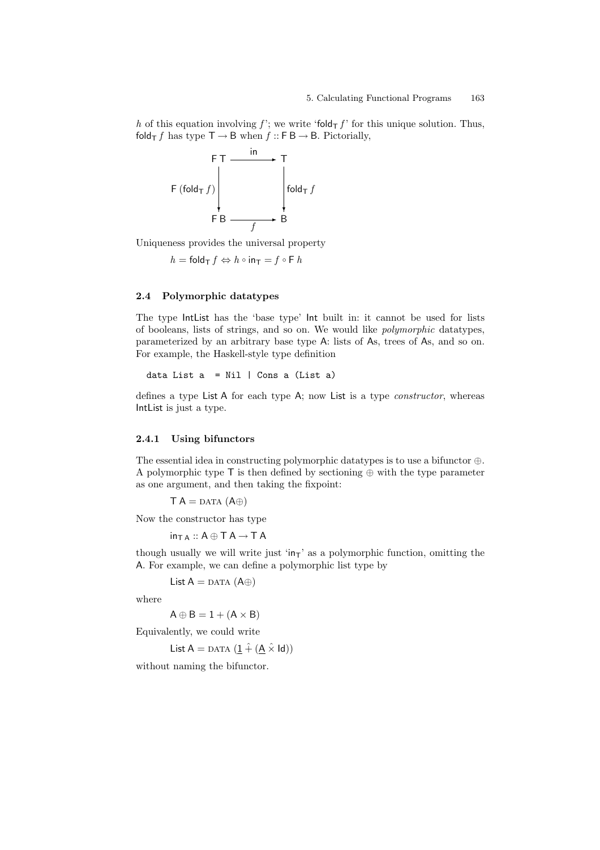*h* of this equation involving *f* '; we write 'fold<sub>T</sub> *f*' for this unique solution. Thus, fold<sub>T</sub> *f* has type  $T \rightarrow B$  when *f* :: F B  $\rightarrow$  B. Pictorially,



Uniqueness provides the universal property

 $h = \text{fold}_{\mathsf{T}} f \Leftrightarrow h \circ \text{in}_{\mathsf{T}} = f \circ \mathsf{F} h$ 

### **2.4 Polymorphic datatypes**

The type IntList has the 'base type' Int built in: it cannot be used for lists of booleans, lists of strings, and so on. We would like *polymorphic* datatypes, parameterized by an arbitrary base type A: lists of As, trees of As, and so on. For example, the Haskell-style type definition

data List  $a = Nil | Cons a (List a)$ 

defines a type List A for each type A; now List is a type *constructor*, whereas IntList is just a type.

# **2.4.1 Using bifunctors**

The essential idea in constructing polymorphic datatypes is to use a bifunctor ⊕. A polymorphic type  $\mathsf T$  is then defined by sectioning  $\oplus$  with the type parameter as one argument, and then taking the fixpoint:

 $TA = DATA (A \oplus)$ 

Now the constructor has type

 $in_{T A}$  ::  $A \oplus T A \rightarrow T A$ 

though usually we will write just  $\mathsf{in}_{\mathsf{T}}$  as a polymorphic function, omitting the A. For example, we can define a polymorphic list type by

List  $A = \text{DATA} (A \oplus)$ 

where

 $A \oplus B = 1 + (A \times B)$ 

Equivalently, we could write

List  $A =$  DATA  $(1 + (A \times Id))$ 

without naming the bifunctor.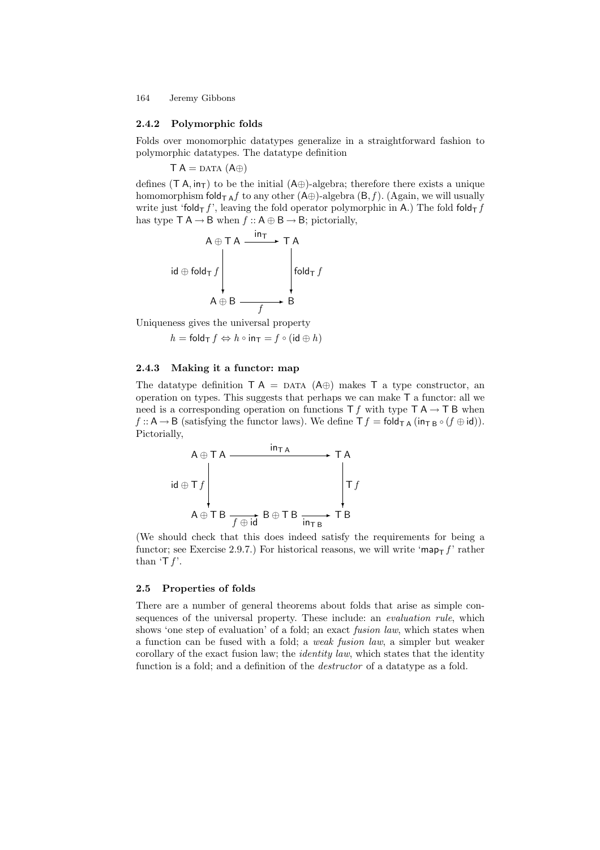#### **2.4.2 Polymorphic folds**

Folds over monomorphic datatypes generalize in a straightforward fashion to polymorphic datatypes. The datatype definition

 $TA = DATA (A \oplus)$ 

defines (T A,  $in_{\tau}$ ) to be the initial (A⊕)-algebra; therefore there exists a unique homomorphism  $\text{fold}_{T \mid A} f$  to any other  $(A \oplus)$ -algebra  $(B, f)$ . (Again, we will usually write just 'fold<sub>T</sub>  $f$ ', leaving the fold operator polymorphic in A.) The fold fold<sub>T</sub>  $f$ has type  $TA \rightarrow B$  when  $f : A \oplus B \rightarrow B$ ; pictorially,

$$
A \oplus TA \xrightarrow{\text{in}_{T}} TA
$$
\n
$$
\text{id} \oplus \text{fold}_{T} f \downarrow \qquad \qquad \text{fold}_{T} f
$$
\n
$$
A \oplus B \xrightarrow{f} B
$$

Uniqueness gives the universal property

$$
h=\operatorname{fold}\nolimits_\mathsf{T} f \Leftrightarrow h\circ\operatorname{in}\nolimits_\mathsf{T}=f\circ(\operatorname{id}\nolimits\oplus h)
$$

# **2.4.3 Making it a functor: map**

The datatype definition  $TA = DATA (A \oplus)$  makes T a type constructor, an operation on types. This suggests that perhaps we can make T a functor: all we need is a corresponding operation on functions  $T f$  with type  $T A \rightarrow T B$  when  $f: A \to B$  (satisfying the functor laws). We define  $T f = \text{fold}_{T,A} (\text{in}_{T,B} \circ (f \oplus \text{id})).$ Pictorially,



(We should check that this does indeed satisfy the requirements for being a functor; see Exercise 2.9.7.) For historical reasons, we will write ' $\text{map}_{T} f'$  rather than  $\mathcal{T} f$ .

#### **2.5 Properties of folds**

There are a number of general theorems about folds that arise as simple consequences of the universal property. These include: an *evaluation rule*, which shows 'one step of evaluation' of a fold; an exact *fusion law*, which states when a function can be fused with a fold; a *weak fusion law*, a simpler but weaker corollary of the exact fusion law; the *identity law*, which states that the identity function is a fold; and a definition of the *destructor* of a datatype as a fold.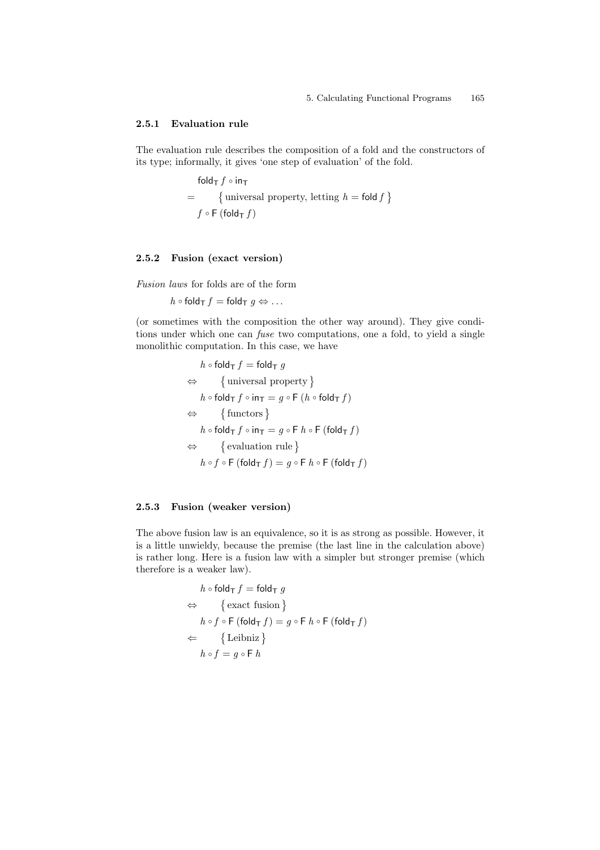### **2.5.1 Evaluation rule**

The evaluation rule describes the composition of a fold and the constructors of its type; informally, it gives 'one step of evaluation' of the fold.

$$
\begin{aligned}\n\text{fold}_{\mathsf{T}} f \circ \mathsf{in}_{\mathsf{T}} \\
&= \{ \text{universal property, letting } h = \text{fold} f \} \\
f \circ \mathsf{F} \left( \text{fold}_{\mathsf{T}} f \right)\n\end{aligned}
$$

## **2.5.2 Fusion (exact version)**

*Fusion laws* for folds are of the form

 $h \circ \text{fold}_{\mathsf{T}} f = \text{fold}_{\mathsf{T}} g \Leftrightarrow \dots$ 

(or sometimes with the composition the other way around). They give conditions under which one can *fuse* two computations, one a fold, to yield a single monolithic computation. In this case, we have

$$
h \circ \text{fold}_{T} f = \text{fold}_{T} g
$$
\n
$$
\Leftrightarrow \{ \text{universal property} \}
$$
\n
$$
h \circ \text{fold}_{T} f \circ \text{in}_{T} = g \circ F (h \circ \text{fold}_{T} f)
$$
\n
$$
\Leftrightarrow \{ \text{functors} \}
$$
\n
$$
h \circ \text{fold}_{T} f \circ \text{in}_{T} = g \circ F h \circ F (\text{fold}_{T} f)
$$
\n
$$
\Leftrightarrow \{ \text{evaluation rule} \}
$$
\n
$$
h \circ f \circ F (\text{fold}_{T} f) = g \circ F h \circ F (\text{fold}_{T} f)
$$

# **2.5.3 Fusion (weaker version)**

The above fusion law is an equivalence, so it is as strong as possible. However, it is a little unwieldy, because the premise (the last line in the calculation above) is rather long. Here is a fusion law with a simpler but stronger premise (which therefore is a weaker law).

$$
h \circ \text{fold}_{T} f = \text{fold}_{T} g
$$
  
\n
$$
\Leftrightarrow \{ \text{exact fusion} \}
$$
  
\n
$$
h \circ f \circ \text{F} (\text{fold}_{T} f) = g \circ \text{F} h \circ \text{F} (\text{fold}_{T} f)
$$
  
\n
$$
\Leftrightarrow \{ \text{Leibniz} \}
$$
  
\n
$$
h \circ f = g \circ \text{F} h
$$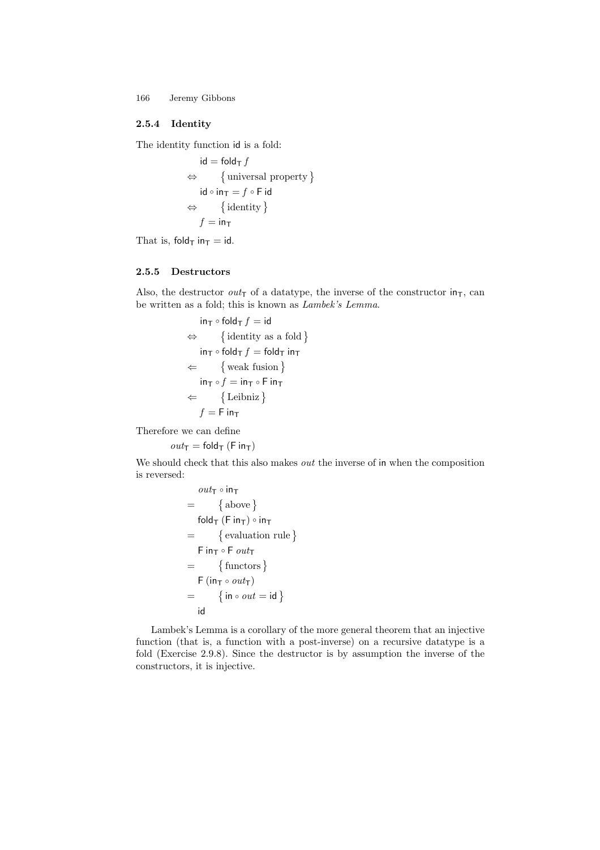# **2.5.4 Identity**

The identity function id is a fold:

```
id = fold_T f⇔ {universal property}
  id \circ in_T = f \circ F id
⇔ {identity}
  f = \mathsf{in}_{\mathsf{T}}
```
That is, fold<sub>T</sub> in<sub>T</sub> = id.

# **2.5.5 Destructors**

Also, the destructor  $out_\mathsf{T}$  of a datatype, the inverse of the constructor  $in_\mathsf{T}$ , can be written as a fold; this is known as *Lambek's Lemma*.

$$
\mathsf{in}_{\mathsf{T}} \circ \mathsf{fold}_{\mathsf{T}} f = \mathsf{id}
$$
\n
$$
\Leftrightarrow \{ \mathsf{identity} \text{ as a fold} \}
$$
\n
$$
\mathsf{in}_{\mathsf{T}} \circ \mathsf{fold}_{\mathsf{T}} f = \mathsf{fold}_{\mathsf{T}} \mathsf{in}_{\mathsf{T}}
$$
\n
$$
\Leftrightarrow \{ \mathsf{weak} \text{ fusion} \}
$$
\n
$$
\mathsf{in}_{\mathsf{T}} \circ f = \mathsf{in}_{\mathsf{T}} \circ \mathsf{F} \mathsf{in}_{\mathsf{T}}
$$
\n
$$
\Leftrightarrow \{ \mathsf{Leibniz} \}
$$
\n
$$
f = \mathsf{F} \mathsf{in}_{\mathsf{T}}
$$

Therefore we can define

 $out_{T} = fold_{T}$  (F in<sub>T</sub>)

We should check that this also makes *out* the inverse of in when the composition is reversed:

$$
out_{T} \circ in_{T}
$$
\n
$$
= \{ above \}
$$
\n
$$
fold_{T} (F in_{T}) \circ in_{T}
$$
\n
$$
= \{ evaluation rule \}
$$
\n
$$
= \{ in_{T} \circ F out_{T}
$$
\n
$$
= \{ functors \}
$$
\n
$$
= \{ in \circ out = id \}
$$
\n
$$
id
$$

Lambek's Lemma is a corollary of the more general theorem that an injective function (that is, a function with a post-inverse) on a recursive datatype is a fold (Exercise 2.9.8). Since the destructor is by assumption the inverse of the constructors, it is injective.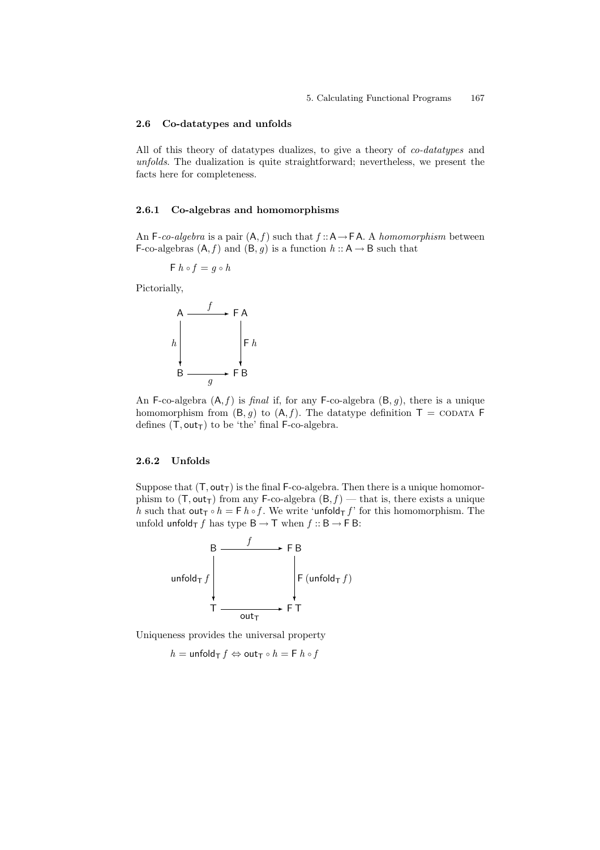### **2.6 Co-datatypes and unfolds**

All of this theory of datatypes dualizes, to give a theory of *co-datatypes* and *unfolds*. The dualization is quite straightforward; nevertheless, we present the facts here for completeness.

### **2.6.1 Co-algebras and homomorphisms**

An F-co-algebra is a pair  $(A, f)$  such that  $f : A \rightarrow FA$ . A *homomorphism* between F-co-algebras  $(A, f)$  and  $(B, g)$  is a function  $h : A \rightarrow B$  such that

$$
\mathsf{F}\;h\circ f=g\circ h
$$

Pictorially,



An F-co-algebra  $(A, f)$  is *final* if, for any F-co-algebra  $(B, g)$ , there is a unique homomorphism from  $(B, g)$  to  $(A, f)$ . The datatype definition  $T = \text{cod}A$  F defines  $(T, \text{out}_T)$  to be 'the' final F-co-algebra.

#### **2.6.2 Unfolds**

Suppose that  $(T, \text{out}_T)$  is the final F-co-algebra. Then there is a unique homomorphism to  $(T, \text{out}_T)$  from any F-co-algebra  $(B, f)$  — that is, there exists a unique *h* such that  $\text{out}_{\mathsf{T}} \circ h = \mathsf{F} h \circ f$ . We write 'unfold<sub>T</sub> *f*' for this homomorphism. The unfold unfold<sub>T</sub> *f* has type  $B \to T$  when *f* ::  $B \to F B$ :



Uniqueness provides the universal property

 $h = \text{unfold}_{\mathsf{T}} f \Leftrightarrow \text{out}_{\mathsf{T}} \circ h = \mathsf{F} h \circ f$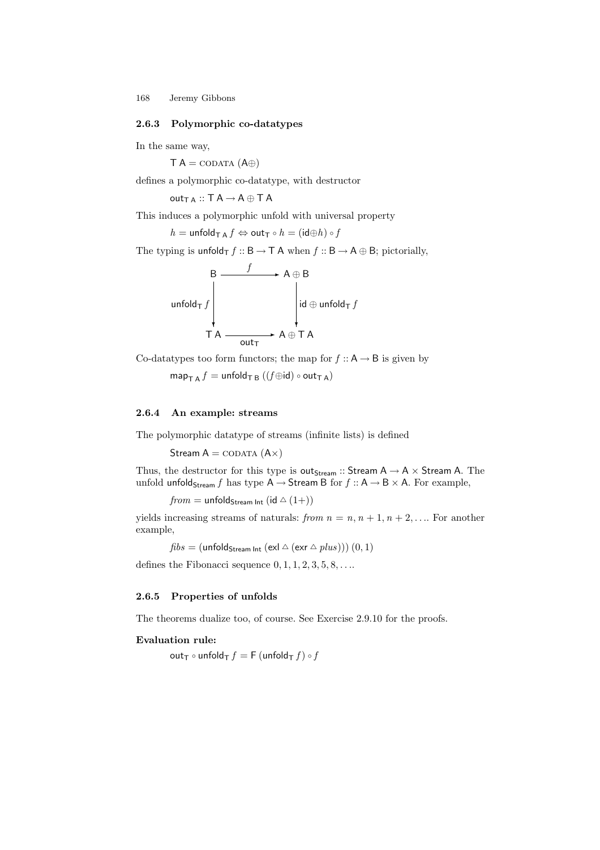### **2.6.3 Polymorphic co-datatypes**

In the same way,

 $TA = \text{codata} (A \oplus)$ 

defines a polymorphic co-datatype, with destructor

 $out_{T A} :: T A \rightarrow A \oplus T A$ 

This induces a polymorphic unfold with universal property

 $h = \text{unfold}_{T \mid A} f \Leftrightarrow \text{out}_{T} \circ h = (\text{id} \oplus h) \circ f$ 

The typing is  $\text{unfold}_{\mathsf{T}} f :: \mathsf{B} \to \mathsf{T} \mathsf{A}$  when  $f :: \mathsf{B} \to \mathsf{A} \oplus \mathsf{B}$ ; pictorially,



Co-datatypes too form functors; the map for  $f : A \to B$  is given by

 $map_{T A} f =$  unfold<sub>TB</sub> (( $f \oplus id$ ) ∘ out<sub>TA</sub>)

# **2.6.4 An example: streams**

The polymorphic datatype of streams (infinite lists) is defined

Stream  $A =$  CODATA  $(A \times)$ 

Thus, the destructor for this type is out<sub>Stream</sub> :: Stream  $A \rightarrow A \times$  Stream A. The unfold unfold<sub>Stream</sub> *f* has type  $A \rightarrow$  Stream B for  $f :: A \rightarrow B \times A$ . For example,

 $\mathit{from} = \mathsf{unfold}_{\mathsf{Stream} \; \mathsf{Int}} \; (\mathsf{id} \mathbin{\vartriangle} (1+))$ 

yields increasing streams of naturals: *from*  $n = n, n + 1, n + 2, \ldots$  For another example,

 $\mathit{fibs} = (\mathsf{unfold}_{\mathsf{Stream} \; \mathsf{Int}}\;(\mathsf{exl} \vartriangle (\mathsf{exr} \vartriangle \mathit{plus})))\; (0,1)$ 

defines the Fibonacci sequence  $0, 1, 1, 2, 3, 5, 8, \ldots$ 

### **2.6.5 Properties of unfolds**

The theorems dualize too, of course. See Exercise 2.9.10 for the proofs.

#### **Evaluation rule:**

out<sub>T</sub> ∘ unfold<sub>T</sub>  $f = F$  (unfold<sub>T</sub>  $f$ ) ∘  $f$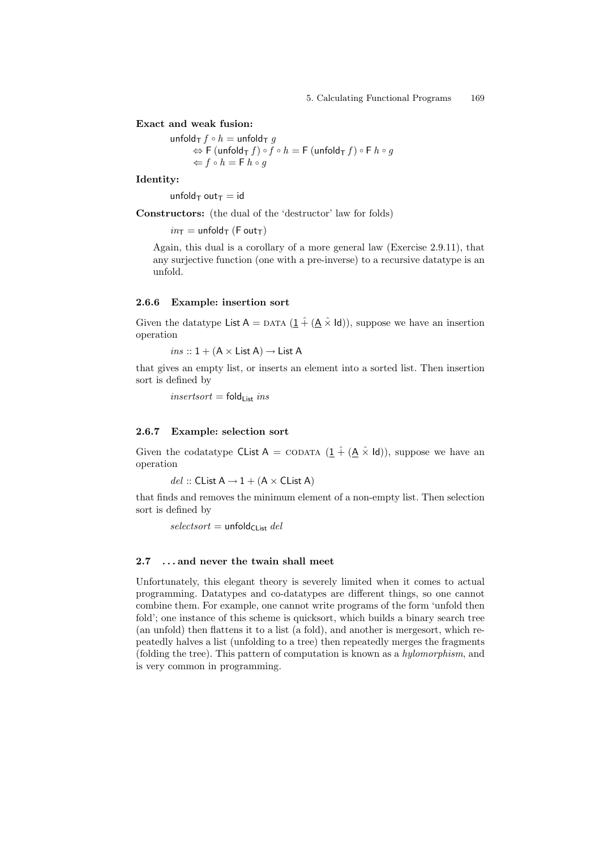**Exact and weak fusion:**

unfold<sub>T</sub>  $f \circ h =$ unfold<sub>T</sub>  $g$  $\Leftrightarrow$  F (unfold<sub>T</sub>  $f$ ) ∘  $f \circ h = F$  (unfold<sub>T</sub>  $f$ ) ∘ F  $h \circ g$ ⇐ *f* ◦ *h* = F *h* ◦ *g*

**Identity:**

unfold<sub>T</sub> out<sub>T</sub> = id

**Constructors:** (the dual of the 'destructor' law for folds)

 $in_{T} =$  unfold<sub>T</sub> (F out<sub>T</sub>)

Again, this dual is a corollary of a more general law (Exercise 2.9.11), that any surjective function (one with a pre-inverse) to a recursive datatype is an unfold.

# **2.6.6 Example: insertion sort**

Given the datatype List  $A = DATA$  ( $\underline{1} + (\underline{A} \times \underline{Id})$ ), suppose we have an insertion operation

$$
ins :: 1 + (A \times List A) \rightarrow List A
$$

that gives an empty list, or inserts an element into a sorted list. Then insertion sort is defined by

 $insertsort = fold_{List}$  *ins* 

#### **2.6.7 Example: selection sort**

Given the codatatype CList  $A = \text{CDATA}$   $(\underline{1} + (\underline{A} \times \text{Id}))$ , suppose we have an operation

$$
del :: \text{Clist A} \rightarrow 1 + (\text{A} \times \text{Clist A})
$$

that finds and removes the minimum element of a non-empty list. Then selection sort is defined by

 $selectsort =$  unfold<sub>CList</sub> *del* 

# **2.7 . . . and never the twain shall meet**

Unfortunately, this elegant theory is severely limited when it comes to actual programming. Datatypes and co-datatypes are different things, so one cannot combine them. For example, one cannot write programs of the form 'unfold then fold'; one instance of this scheme is quicksort, which builds a binary search tree (an unfold) then flattens it to a list (a fold), and another is mergesort, which repeatedly halves a list (unfolding to a tree) then repeatedly merges the fragments (folding the tree). This pattern of computation is known as a *hylomorphism*, and is very common in programming.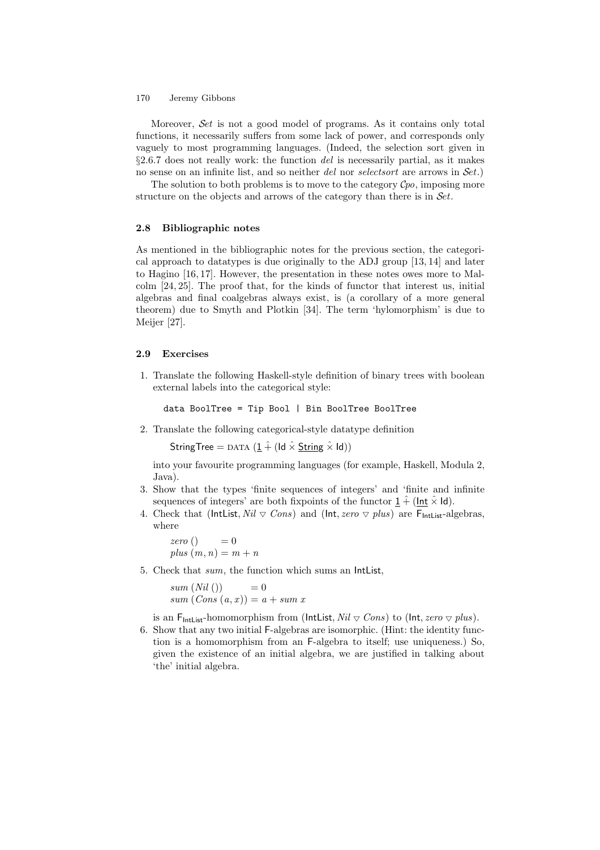Moreover, S*et* is not a good model of programs. As it contains only total functions, it necessarily suffers from some lack of power, and corresponds only vaguely to most programming languages. (Indeed, the selection sort given in §2.6.7 does not really work: the function *del* is necessarily partial, as it makes no sense on an infinite list, and so neither *del* nor *selectsort* are arrows in S*et*.)

The solution to both problems is to move to the category C*po*, imposing more structure on the objects and arrows of the category than there is in S*et*.

### **2.8 Bibliographic notes**

As mentioned in the bibliographic notes for the previous section, the categorical approach to datatypes is due originally to the ADJ group [13, 14] and later to Hagino [16, 17]. However, the presentation in these notes owes more to Malcolm [24, 25]. The proof that, for the kinds of functor that interest us, initial algebras and final coalgebras always exist, is (a corollary of a more general theorem) due to Smyth and Plotkin [34]. The term 'hylomorphism' is due to Meijer [27].

#### **2.9 Exercises**

1. Translate the following Haskell-style definition of binary trees with boolean external labels into the categorical style:

data BoolTree = Tip Bool | Bin BoolTree BoolTree

2. Translate the following categorical-style datatype definition

StringTree = DATA  $(1 + \hat{ }$  (Id  $\hat{ }$  String  $\hat{ }$  Id))

into your favourite programming languages (for example, Haskell, Modula 2, Java).

- 3. Show that the types 'finite sequences of integers' and 'finite and infinite sequences of integers' are both fixpoints of the functor  $\underline{1} + (\underline{\text{Int}} \times \text{Id}).$
- 4. Check that (Intlist,  $Nil \nabla Cons$ ) and (Int, *zero*  $\nabla plus$ ) are  $F_{\text{Intlist-}algebras$ , where

 $zero() = 0$  $plus (m, n) = m + n$ 

5. Check that *sum*, the function which sums an IntList,

 $sum (Nil())$  = 0  $sum (Cons (a, x)) = a + sum x$ 

is an  $F_{\text{IntList}}$ -homomorphism from (IntList,  $Nil \nabla Cons$ ) to (Int, *zero*  $\nabla plus$ ).

6. Show that any two initial F-algebras are isomorphic. (Hint: the identity function is a homomorphism from an F-algebra to itself; use uniqueness.) So, given the existence of an initial algebra, we are justified in talking about 'the' initial algebra.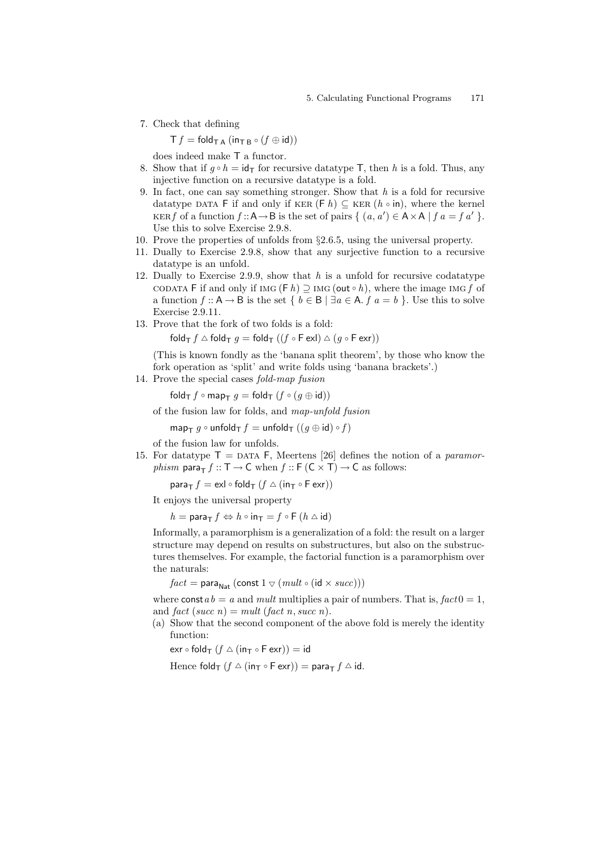7. Check that defining

 $T f = \text{fold}_{T A} (\text{in}_{T B} \circ (f \oplus \text{id}))$ 

does indeed make T a functor.

- 8. Show that if  $g \circ h = id_\mathsf{T}$  for recursive datatype  $\mathsf{T}$ , then *h* is a fold. Thus, any injective function on a recursive datatype is a fold.
- 9. In fact, one can say something stronger. Show that *h* is a fold for recursive datatype DATA F if and only if KER (F  $h$ )  $\subseteq$  KER ( $h \circ \in$  in), where the kernel KER*f* of a function *f* ::**A**→**B** is the set of pairs {  $(a, a')$  ∈ **A** × **A** | *f*  $a = f a'$  }. Use this to solve Exercise 2.9.8.
- 10. Prove the properties of unfolds from §2.6.5, using the universal property.
- 11. Dually to Exercise 2.9.8, show that any surjective function to a recursive datatype is an unfold.
- 12. Dually to Exercise 2.9.9, show that *h* is a unfold for recursive codatatype codata F if and only if  $\text{Ind}(F h) \supseteq \text{Ind}(G u \circ h)$ , where the image  $\text{Ind} f$  of a function  $f: A \to B$  is the set  $\{ b \in B \mid \exists a \in A, f \ a = b \}$ . Use this to solve Exercise 2.9.11.
- 13. Prove that the fork of two folds is a fold:

 $\mathsf{fold}_{\mathsf{T}}\, f \vartriangle \mathsf{fold}_{\mathsf{T}}\; g = \mathsf{fold}_{\mathsf{T}}\;((f \circ \mathsf{F}\; \mathsf{exl}) \vartriangle (g \circ \mathsf{F}\; \mathsf{exr}))$ 

(This is known fondly as the 'banana split theorem', by those who know the fork operation as 'split' and write folds using 'banana brackets'.)

14. Prove the special cases *fold-map fusion*

 $f \circ \text{map}_{\text{T}} g = \text{fold}_{\text{T}} (f \circ (g \oplus id))$ 

of the fusion law for folds, and *map-unfold fusion*

 $map_T$  *g* ∘ unfold<sub>T</sub> *f* = unfold<sub>T</sub> ((*g*  $\oplus$  id) ∘ *f*)

of the fusion law for unfolds.

15. For datatype  $T = \text{DATA } F$ , Meertens [26] defines the notion of a *paramorphism* para $-f$ :  $T \to C$  when  $f$ :  $F(C \times T) \to C$  as follows:

 $\mathsf{para}_{\mathsf{T}} f = \mathsf{exl} \circ \mathsf{fold}_{\mathsf{T}} \ (f \wedge (\mathsf{in}_{\mathsf{T}} \circ \mathsf{F} \ \mathsf{exr}))$ 

It enjoys the universal property

 $h = \textsf{para}_{\textsf{T}} f \Leftrightarrow h \circ \textsf{in}_{\textsf{T}} = f \circ \textsf{F} \ (h \triangle \textsf{id})$ 

Informally, a paramorphism is a generalization of a fold: the result on a larger structure may depend on results on substructures, but also on the substructures themselves. For example, the factorial function is a paramorphism over the naturals:

 $fact = \text{para}_{\text{Nat}} (\text{const } 1 \vee (mult \circ (\text{id} \times succ)))$ 

where const  $ab = a$  and *mult* multiplies a pair of numbers. That is,  $fact 0 = 1$ , and *fact* (*succ n*) = *mult* (*fact n*, *succ n*).

(a) Show that the second component of the above fold is merely the identity function:

 $\mathsf{exr} \circ \mathsf{fold}_\mathsf{T}$   $(f \vartriangle (\mathsf{in}_\mathsf{T} \circ \mathsf{F} \, \mathsf{exr})) = \mathsf{id}$ 

Hence fold<sub>T</sub>  $(f \triangle (in_T \circ F \text{ exr})) = \text{para}_T f \triangle id$ .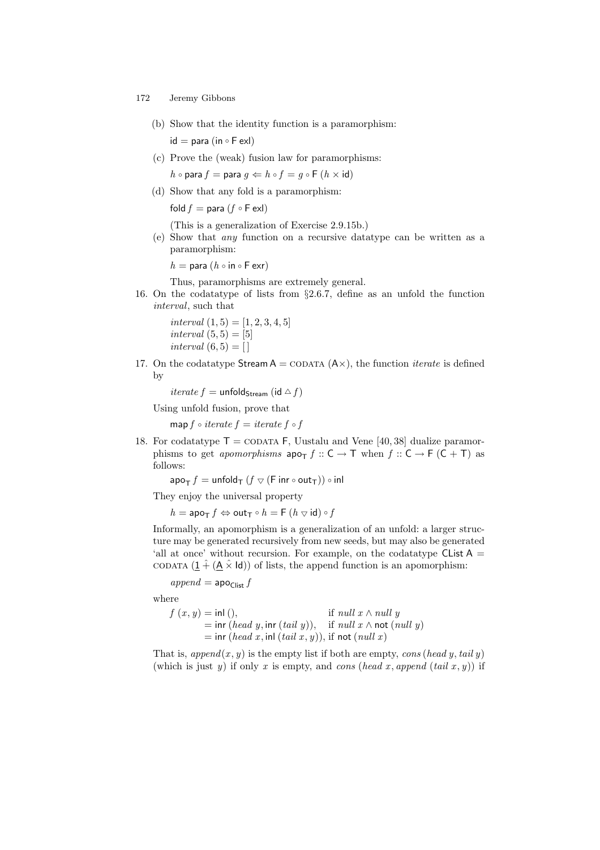(b) Show that the identity function is a paramorphism:

 $id = para (in \circ F exl)$ 

(c) Prove the (weak) fusion law for paramorphisms:

*h* ◦ para *f* = para *q*  $\Leftarrow$  *h* ◦ *f* = *q* ◦  $\in$  *f*  $(h \times id)$ 

(d) Show that any fold is a paramorphism:

fold  $f =$  para  $(f \circ$  F exl)

(This is a generalization of Exercise 2.9.15b.)

(e) Show that *any* function on a recursive datatype can be written as a paramorphism:

 $h =$  para  $(h \circ$  in  $\circ$  F exr)

Thus, paramorphisms are extremely general.

16. On the codatatype of lists from §2.6.7, define as an unfold the function *interval*, such that

> *interval*  $(1, 5) = [1, 2, 3, 4, 5]$ *interval*  $(5, 5) = [5]$ *interval*  $(6, 5) = []$

17. On the codatatype Stream  $A = \text{CDATA}(Ax)$ , the function *iterate* is defined by

 $\textit{iterate } f = \mathsf{unfold}_{\mathsf{Stream}} \left( \mathsf{id} \triangle f \right)$ 

Using unfold fusion, prove that

map  $f \circ iterate f = iterate f \circ f$ 

18. For codatatype  $T = \text{CDATA}$  F, Uustalu and Vene [40, 38] dualize paramorphisms to get *apomorphisms*  $\text{apo}_{\text{T}} f :: \text{C} \rightarrow \text{T}$  when  $f :: \text{C} \rightarrow \text{F} (\text{C} + \text{T})$  as follows:

 $\mathsf{apo}_{\mathsf{T}} f = \mathsf{unfold}_{\mathsf{T}} (f \vee (\mathsf{F}\mathsf{inr} \circ \mathsf{out}_{\mathsf{T}})) \circ \mathsf{inl}$ 

They enjoy the universal property

 $h = \mathsf{apo}_{\mathsf{T}} f \Leftrightarrow \mathsf{out}_{\mathsf{T}} \circ h = \mathsf{F} (h \vee \mathsf{id}) \circ f$ 

Informally, an apomorphism is a generalization of an unfold: a larger structure may be generated recursively from new seeds, but may also be generated 'all at once' without recursion. For example, on the codatatype  $Clist A =$ CODATA  $(1 + (A \times Id))$  of lists, the append function is an apomorphism:

 $append = \mathsf{apo}_{\text{Clist}} f$ 

where

 $f(x, y) = \text{inl}$  (), if *null x* ∧ *null y*  $=$  inr (*head y*, inr (*tail y*)), if *null x*  $\wedge$  not (*null y*)  $=$  inr (*head x*, inl (*tail x*, *y*)), if not (*null x*)

That is,  $append(x, y)$  is the empty list if both are empty,  $cons$  (*head y*, *tail y*) (which is just *y*) if only *x* is empty, and *cons* (*head x*, *append* (*tail x*, *y*)) if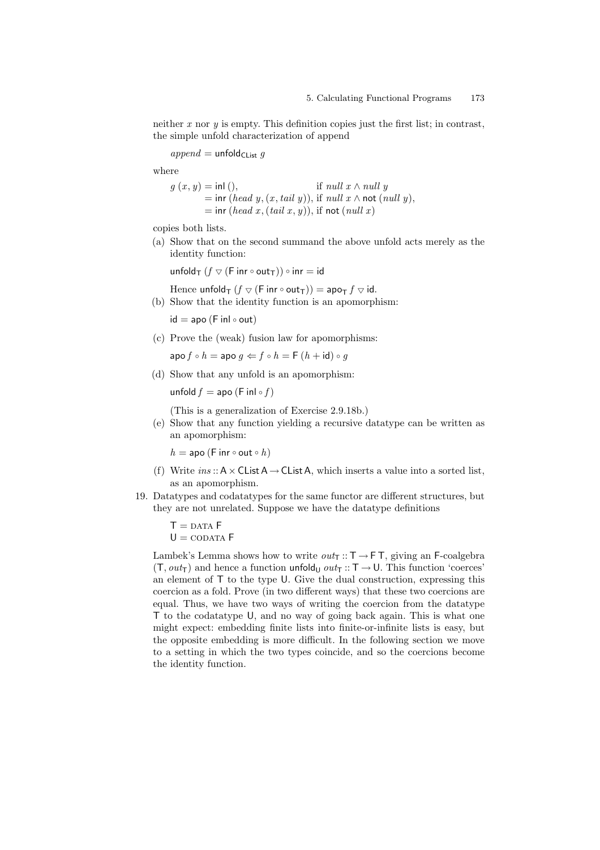neither *x* nor *y* is empty. This definition copies just the first list; in contrast, the simple unfold characterization of append

 $append =$  unfold<sub>CList</sub> g

where

$$
g(x, y) = \text{inl}(x), \quad \text{if null } x \land \text{null } y
$$
  
= \text{inr}(head y, (x, tail y)), if null  $x \land \text{not} (\text{null } y)$ ,  
= \text{inr}(head x, (tail x, y)), if not (null x)

copies both lists.

(a) Show that on the second summand the above unfold acts merely as the identity function:

unfold<sub>T</sub>  $(f \vee f)$  (F inr ∘ out<sub>T</sub>)) ∘ inr = id

Hence unfold<sub>T</sub>  $(f \vee f$  (F inr  $\circ$  out<sub>T</sub>)) = apo<sub>T</sub>  $f \vee f$  id.

(b) Show that the identity function is an apomorphism:

 $id = apo (F inl \circ out)$ 

(c) Prove the (weak) fusion law for apomorphisms:

apo *f* ◦ *h* = apo *g* ⇐ *f* ◦ *h* = F (*h* + id) ◦ *g*

(d) Show that any unfold is an apomorphism:

unfold  $f =$  apo (F inl  $\circ f$ )

(This is a generalization of Exercise 2.9.18b.)

(e) Show that any function yielding a recursive datatype can be written as an apomorphism:

 $h =$ apo (F inr ∘ out ∘ *h*)

- (f) Write  $ins: A \times \text{Clist } A \rightarrow \text{Clist } A$ , which inserts a value into a sorted list, as an apomorphism.
- 19. Datatypes and codatatypes for the same functor are different structures, but they are not unrelated. Suppose we have the datatype definitions

$$
\begin{array}{l} T = \text{data } F \\ U = \text{codata } F \end{array}
$$

Lambek's Lemma shows how to write  $out_\mathsf{T} : \mathsf{T} \to \mathsf{FT}$ , giving an F-coalgebra  $(T, out_T)$  and hence a function unfold<sub>U</sub>  $out_T : T \rightarrow U$ . This function 'coerces' an element of T to the type U. Give the dual construction, expressing this coercion as a fold. Prove (in two different ways) that these two coercions are equal. Thus, we have two ways of writing the coercion from the datatype T to the codatatype U, and no way of going back again. This is what one might expect: embedding finite lists into finite-or-infinite lists is easy, but the opposite embedding is more difficult. In the following section we move to a setting in which the two types coincide, and so the coercions become the identity function.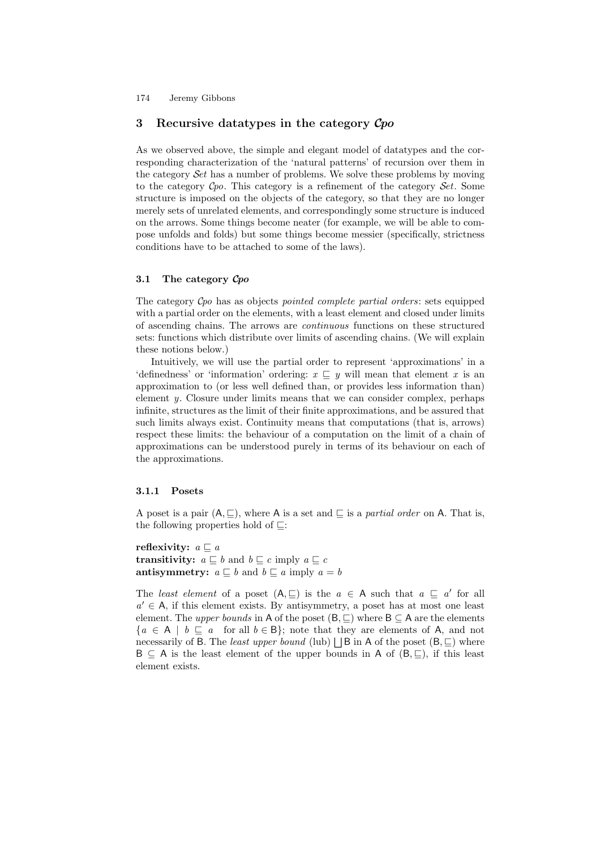# **3 Recursive datatypes in the category** *Cpo*

As we observed above, the simple and elegant model of datatypes and the corresponding characterization of the 'natural patterns' of recursion over them in the category S*et* has a number of problems. We solve these problems by moving to the category C*po*. This category is a refinement of the category S*et*. Some structure is imposed on the objects of the category, so that they are no longer merely sets of unrelated elements, and correspondingly some structure is induced on the arrows. Some things become neater (for example, we will be able to compose unfolds and folds) but some things become messier (specifically, strictness conditions have to be attached to some of the laws).

#### **3.1 The category** *Cpo*

The category C*po* has as objects *pointed complete partial orders*: sets equipped with a partial order on the elements, with a least element and closed under limits of ascending chains. The arrows are *continuous* functions on these structured sets: functions which distribute over limits of ascending chains. (We will explain these notions below.)

Intuitively, we will use the partial order to represent 'approximations' in a 'definedness' or 'information' ordering:  $x \subseteq y$  will mean that element x is an approximation to (or less well defined than, or provides less information than) element *y*. Closure under limits means that we can consider complex, perhaps infinite, structures as the limit of their finite approximations, and be assured that such limits always exist. Continuity means that computations (that is, arrows) respect these limits: the behaviour of a computation on the limit of a chain of approximations can be understood purely in terms of its behaviour on each of the approximations.

# **3.1.1 Posets**

A poset is a pair  $(A, \subseteq)$ , where A is a set and  $\subseteq$  is a *partial order* on A. That is, the following properties hold of  $\Box$ :

**reflexivity:**  $a \sqsubseteq a$ **transitivity:**  $a \sqsubseteq b$  and  $b \sqsubseteq c$  imply  $a \sqsubseteq c$ **antisymmetry:**  $a \subseteq b$  and  $b \subseteq a$  imply  $a = b$ 

The *least element* of a poset  $(A, \subseteq)$  is the  $a \in A$  such that  $a \subseteq a'$  for all  $a' \in A$ , if this element exists. By antisymmetry, a poset has at most one least element. The *upper bounds* in A of the poset  $(B, \subseteq)$  where  $B \subseteq A$  are the elements  ${a \in A \mid b \subseteq a \text{ for all } b \in B}$ ; note that they are elements of A, and not necessarily of B. The *least upper bound* (lub)  $\Box$  B in A of the poset  $(B, \underline{\Box})$  where  $B \subseteq A$  is the least element of the upper bounds in A of  $(B, \square)$ , if this least element exists.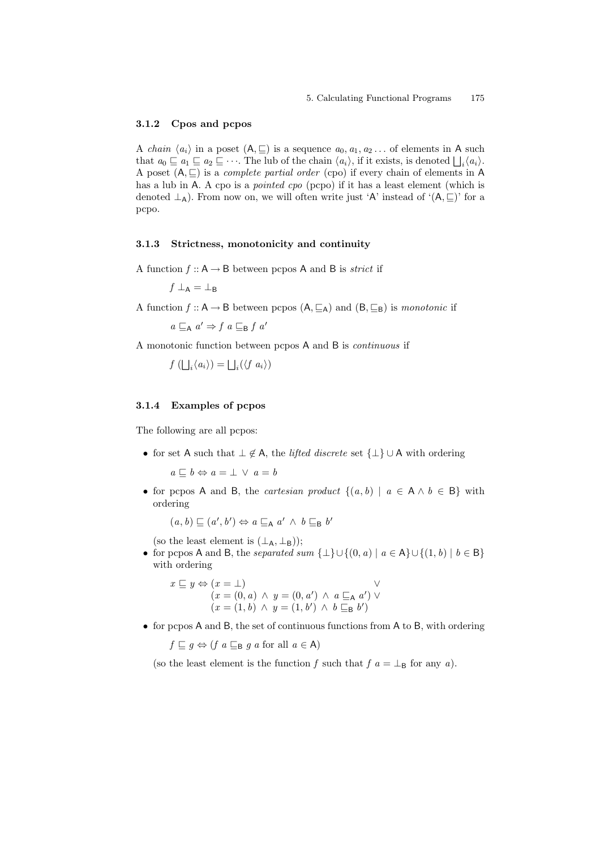#### **3.1.2 Cpos and pcpos**

A *chain*  $\langle a_i \rangle$  in a poset  $(A, \subseteq)$  is a sequence  $a_0, a_1, a_2 \dots$  of elements in A such that  $a_0 \sqsubseteq a_1 \sqsubseteq a_2 \sqsubseteq \cdots$ . The lub of the chain  $\langle a_i \rangle$ , if it exists, is denoted  $\bigsqcup_i \langle a_i \rangle$ . A poset  $(A, \subseteq)$  is a *complete partial order* (cpo) if every chain of elements in A has a lub in A. A cpo is a *pointed cpo* (pcpo) if it has a least element (which is denoted  $\perp_A$ ). From now on, we will often write just 'A' instead of ' $(A, \sqsubseteq)$ ' for a pcpo.

### **3.1.3 Strictness, monotonicity and continuity**

A function  $f: A \to B$  between pcpos A and B is *strict* if

 $f \perp_A = \perp_B$ 

A function  $f: A \to B$  between pcpos  $(A, \subseteq_A)$  and  $(B, \subseteq_B)$  is *monotonic* if

 $a \sqsubseteq_A a' \Rightarrow f \ a \sqsubseteq_B f \ a'$ 

A monotonic function between pcpos A and B is *continuous* if

$$
f\left(\bigsqcup_i \langle a_i \rangle\right) = \bigsqcup_i (\langle f \ a_i \rangle)
$$

# **3.1.4 Examples of pcpos**

The following are all pcpos:

• for set A such that ⊥ ∈ A, the *lifted discrete* set {⊥} ∪ A with ordering

$$
a \sqsubseteq b \Leftrightarrow a = \bot \ \lor \ a = b
$$

• for pcpos A and B, the *cartesian product*  $\{(a, b) | a \in A \land b \in B\}$  with ordering

$$
(a, b) \sqsubseteq (a', b') \Leftrightarrow a \sqsubseteq_A a' \land b \sqsubseteq_B b'
$$

(so the least element is  $(\perp_A, \perp_B)$ );

• for pcpos A and B, the *separated sum*  $\{\perp\} \cup \{(0, a) | a \in A\} \cup \{(1, b) | b \in B\}$ with ordering

 $x \sqsubseteq y \Leftrightarrow (x = \bot)$  ∨  $(x = (0, a) \land y = (0, a') \land a \sqsubseteq_A a') \lor$  $(x = (1, b) \land y = (1, b') \land b \sqsubseteq_B b')$ 

• for pcpos A and B, the set of continuous functions from A to B, with ordering

 $f \sqsubseteq g \Leftrightarrow (f \ a \sqsubseteq_B g \ a \text{ for all } a \in A)$ 

(so the least element is the function *f* such that  $f a = \perp_B$  for any *a*).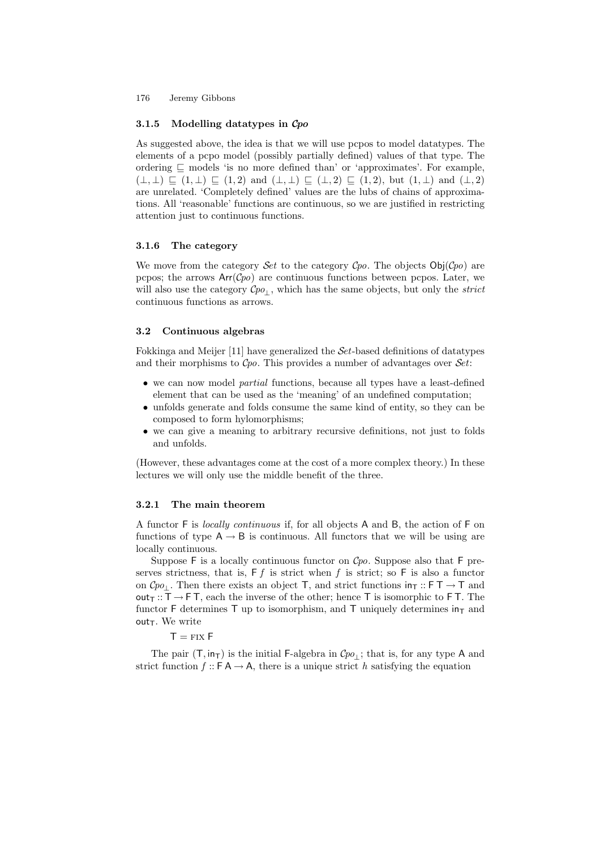#### **3.1.5 Modelling datatypes in** *Cpo*

As suggested above, the idea is that we will use pcpos to model datatypes. The elements of a pcpo model (possibly partially defined) values of that type. The ordering  $\subseteq$  models 'is no more defined than' or 'approximates'. For example,  $(\perp, \perp) \sqsubseteq (1, \perp) \sqsubseteq (1, 2)$  and  $(\perp, \perp) \sqsubseteq (\perp, 2) \sqsubseteq (1, 2)$ , but  $(1, \perp)$  and  $(\perp, 2)$ are unrelated. 'Completely defined' values are the lubs of chains of approximations. All 'reasonable' functions are continuous, so we are justified in restricting attention just to continuous functions.

#### **3.1.6 The category**

We move from the category S*et* to the category C*po*. The objects Obj(C*po*) are pcpos; the arrows  $Arr(Cpo)$  are continuous functions between pcpos. Later, we will also use the category C*po*⊥, which has the same objects, but only the *strict* continuous functions as arrows.

### **3.2 Continuous algebras**

Fokkinga and Meijer [11] have generalized the S*et*-based definitions of datatypes and their morphisms to C*po*. This provides a number of advantages over S*et*:

- we can now model *partial* functions, because all types have a least-defined element that can be used as the 'meaning' of an undefined computation;
- unfolds generate and folds consume the same kind of entity, so they can be composed to form hylomorphisms;
- we can give a meaning to arbitrary recursive definitions, not just to folds and unfolds.

(However, these advantages come at the cost of a more complex theory.) In these lectures we will only use the middle benefit of the three.

### **3.2.1 The main theorem**

A functor F is *locally continuous* if, for all objects A and B, the action of F on functions of type  $A \rightarrow B$  is continuous. All functors that we will be using are locally continuous.

Suppose F is a locally continuous functor on C*po*. Suppose also that F preserves strictness, that is,  $F f$  is strict when  $f$  is strict; so  $F$  is also a functor on  $Cpo_1$ . Then there exists an object T, and strict functions  $\mathsf{in}_T$  ::  $\mathsf{FT} \to \mathsf{T}$  and  $\text{out}_{\text{T}}$  ::  $\text{T} \rightarrow \text{FT}$ , each the inverse of the other; hence T is isomorphic to FT. The functor  $\overline{F}$  determines  $\overline{T}$  up to isomorphism, and  $\overline{T}$  uniquely determines  $\overline{n}_{\overline{T}}$  and out $\tau$ . We write

 $T = FIX F$ 

The pair  $(T, \text{in}_{T})$  is the initial F-algebra in  $\mathcal{C}_{pQ_{\perp}}$ ; that is, for any type A and strict function  $f: F A \rightarrow A$ , there is a unique strict h satisfying the equation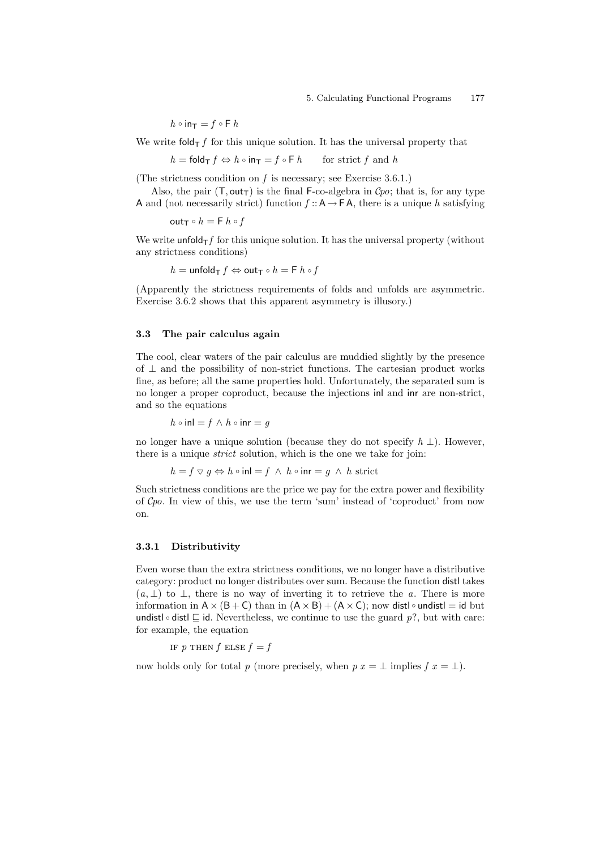$h \circ \mathsf{in}_{\mathsf{T}} = f \circ \mathsf{F} h$ 

We write  $\text{fold}_{\text{t}} f$  for this unique solution. It has the universal property that

 $h = \text{fold}_{T} f \Leftrightarrow h \circ \text{in}_{T} = f \circ F h$  for strict *f* and *h* 

(The strictness condition on *f* is necessary; see Exercise 3.6.1.)

Also, the pair  $(T, \text{out}_T)$  is the final F-co-algebra in C<sub>po</sub>; that is, for any type A and (not necessarily strict) function  $f : A \rightarrow \mathsf{FA}$ , there is a unique h satisfying

out<sub>T</sub>  $\circ$  *h* = F *h*  $\circ$  *f* 

We write unfold<sub>T</sub> f for this unique solution. It has the universal property (without any strictness conditions)

 $h = \text{unfold}_{\text{T}} f \Leftrightarrow \text{out}_{\text{T}} \circ h = \text{F} h \circ f$ 

(Apparently the strictness requirements of folds and unfolds are asymmetric. Exercise 3.6.2 shows that this apparent asymmetry is illusory.)

### **3.3 The pair calculus again**

The cool, clear waters of the pair calculus are muddied slightly by the presence of  $\perp$  and the possibility of non-strict functions. The cartesian product works fine, as before; all the same properties hold. Unfortunately, the separated sum is no longer a proper coproduct, because the injections inl and inr are non-strict, and so the equations

*h* ∘ inl = *f* ∧ *h* ∘ inr = *g* 

no longer have a unique solution (because they do not specify  $h \perp$ ). However, there is a unique *strict* solution, which is the one we take for join:

$$
h = f \bigtriangledown g \Leftrightarrow h \circ \mathsf{inl} = f \ \land \ h \circ \mathsf{inr} = g \ \land \ h \ \mathsf{strict}
$$

Such strictness conditions are the price we pay for the extra power and flexibility of C*po*. In view of this, we use the term 'sum' instead of 'coproduct' from now on.

# **3.3.1 Distributivity**

Even worse than the extra strictness conditions, we no longer have a distributive category: product no longer distributes over sum. Because the function distl takes  $(a, \perp)$  to  $\perp$ , there is no way of inverting it to retrieve the *a*. There is more information in  $A \times (B + C)$  than in  $(A \times B) + (A \times C)$ ; now distl ∘ undistl = id but undistl ∘ distl  $\sqsubset$  id. Nevertheless, we continue to use the guard *p*?, but with care: for example, the equation

IF *p* THEN  $f$  ELSE  $f = f$ 

now holds only for total *p* (more precisely, when  $p x = \perp$  implies  $f x = \perp$ ).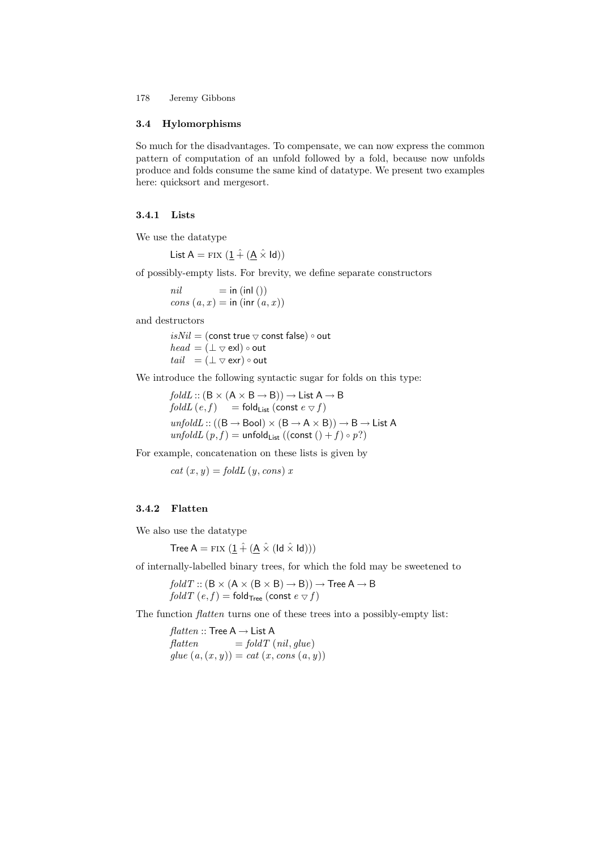### **3.4 Hylomorphisms**

So much for the disadvantages. To compensate, we can now express the common pattern of computation of an unfold followed by a fold, because now unfolds produce and folds consume the same kind of datatype. We present two examples here: quicksort and mergesort.

# **3.4.1 Lists**

We use the datatype

List  $A = FIX (1 + (A \hat{X} \, \text{Id}))$ 

of possibly-empty lists. For brevity, we define separate constructors

 $nil \qquad \qquad = \text{in (inl ())}$  $cons (a, x) = in (inr (a, x))$ 

and destructors

 $isNil = (const true \triangledown const false) \circ out$  $head = (\perp \triangledown \mathsf{exl}) \circ \mathsf{out}$  $tail = (\perp \triangledown \text{exr}) \circ \text{out}$ 

We introduce the following syntactic sugar for folds on this type:

 $foldL :: (B \times (A \times B \rightarrow B)) \rightarrow List A \rightarrow B$  $foldL(e, f) = fold_{List}(const e \nabla f)$  $unfoldL :: ((B \rightarrow Bool) \times (B \rightarrow A \times B)) \rightarrow B \rightarrow List A$  $unfoldL(p, f) =$  unfold<sub>List</sub> ((const  $() + f) \circ p$ ?)

For example, concatenation on these lists is given by

 $cat(x, y) = foldL(y, cons)x$ 

# **3.4.2 Flatten**

We also use the datatype

Tree A = FIX  $(1 + (A \times (Id \times Id)))$ 

of internally-labelled binary trees, for which the fold may be sweetened to

 $foldT :: (B \times (A \times (B \times B) \rightarrow B)) \rightarrow Tree A \rightarrow B$  $foldT(e, f) = fold_{Tree}(const e \nabla f)$ 

The function *flatten* turns one of these trees into a possibly-empty list:

 $\textit{flatten} :: \textsf{Tree A} \rightarrow \textsf{List A}$  $f$ *latten*  $=$   $f$ *oldT*  $(nil,$  *glue*)  $glue(a,(x,y)) = cat(x,cons(a,y))$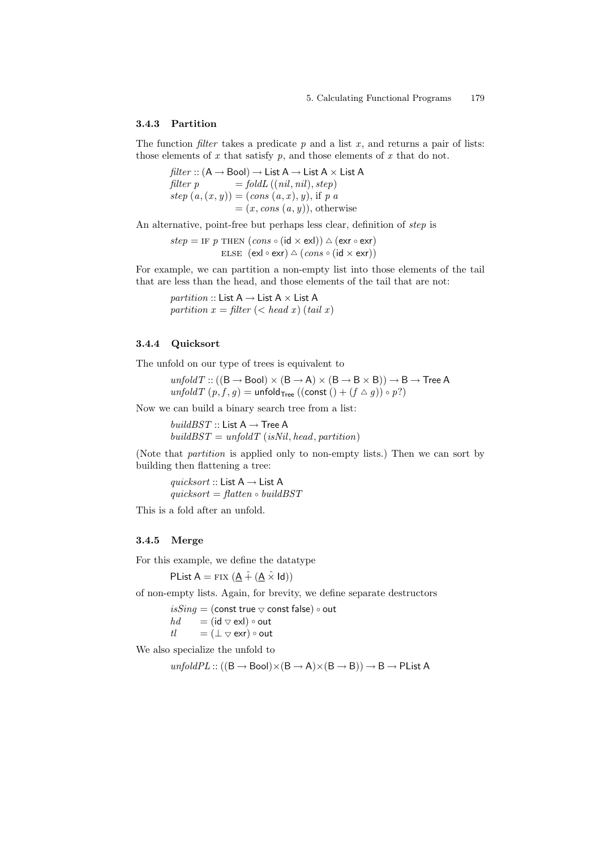### **3.4.3 Partition**

The function *filter* takes a predicate  $p$  and a list  $x$ , and returns a pair of lists: those elements of  $x$  that satisfy  $p$ , and those elements of  $x$  that do not.

 $filter :: (A \rightarrow Bool) \rightarrow List A \rightarrow List A \times List A$  $f\text{)}$   $\qquad \qquad = \text{foldL}((\text{nil}, \text{nil}), \text{step})$  $step(a, (x, y)) = (cons(a, x), y)$ , if *p a*  $=(x, cons(a, y)),$  otherwise

An alternative, point-free but perhaps less clear, definition of *step* is

 $step = \text{IF } p \text{ THEN } (cons \circ (\text{id} \times \text{exl})) \triangle (\text{exr} \circ \text{exr})$  $\text{ELSE} \left(\text{exl} \circ \text{exr}\right) \triangle \left(\text{cons} \circ (\text{id} \times \text{exr})\right)$ 

For example, we can partition a non-empty list into those elements of the tail that are less than the head, and those elements of the tail that are not:

 $partition ::$  List  $A \rightarrow$  List  $A \times$  List A *partition*  $x =$  *filter* (< *head*  $x$ ) (*tail*  $x$ )

## **3.4.4 Quicksort**

The unfold on our type of trees is equivalent to

 $unfoldT :: ((B \rightarrow Bool) \times (B \rightarrow A) \times (B \rightarrow B \times B)) \rightarrow B \rightarrow Tree A$  $\mathit{unfoldT}(p, f, g) = \mathsf{unfold}_{\mathsf{Tree}}((\mathsf{const}\,() + (f \triangle g)) \circ p?)$ 

Now we can build a binary search tree from a list:

 $buildBST :: List A \rightarrow Tree A$  $buildBST = unfoldT (isNil, head, partition)$ 

(Note that *partition* is applied only to non-empty lists.) Then we can sort by building then flattening a tree:

*quicksort* :: List A → List A *quicksort* = *flatten* ◦ *buildBST*

This is a fold after an unfold.

# **3.4.5 Merge**

For this example, we define the datatype

 $PList A = FIX (A \hat{+} (A \hat{\times} Id))$ 

of non-empty lists. Again, for brevity, we define separate destructors

 $isSing = (const true \triangledown const false) \circ out$  $hd = (id \vee exl) \circ out$  $tl = (\perp \triangledown \text{exr}) \circ \text{out}$ 

We also specialize the unfold to

$$
unfoldPL::((B \to \text{Bool}) \times (B \to A) \times (B \to B)) \to B \to \text{Plist A}
$$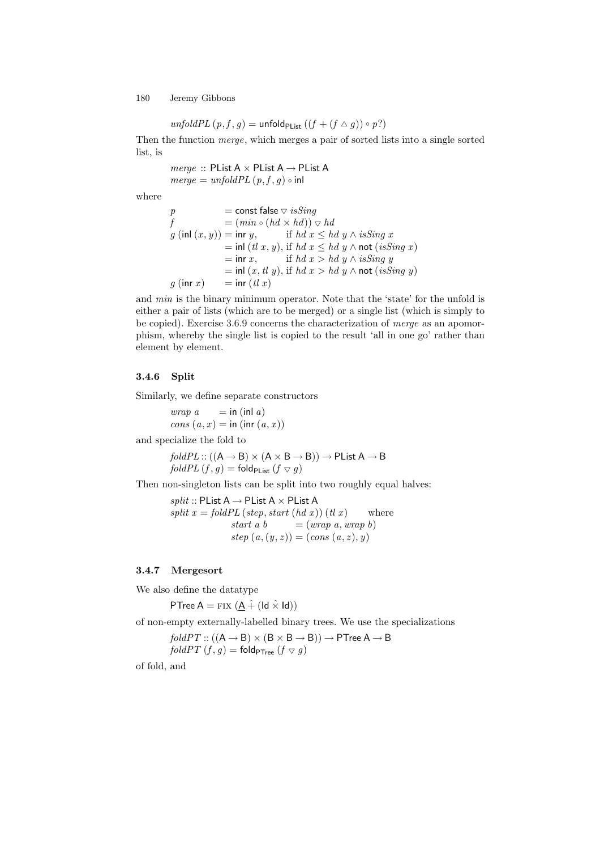$$
\text{unfoldPL}(p, f, g) = \text{unfold}_{\text{Plist}}((f + (f \triangle g)) \circ p?)
$$

Then the function *merge*, which merges a pair of sorted lists into a single sorted list, is

*merge* :: PList A × PList A → PList A  $merge = \text{unfoldPL}(p, f, g) \circ \text{inl}$ 

where

$$
p = \text{const false} \vee i \text{sSing}
$$
\n
$$
f = (min \circ (hd \times hd)) \vee hd
$$
\n
$$
g (inl (x, y)) = \text{inr } y, \qquad \text{if } hd x \le hd y \wedge i \text{sSing } x
$$
\n
$$
= \text{inl } (tl x, y), \text{if } hd x \le hd y \wedge \text{not } (isSing x)
$$
\n
$$
= \text{inr } x, \qquad \text{if } hd x > hd y \wedge i \text{sSing } y
$$
\n
$$
= \text{inl } (x, tl y), \text{if } hd x > hd y \wedge \text{not } (isSing y)
$$
\n
$$
g (inr x) = \text{inr } (tl x)
$$

and *min* is the binary minimum operator. Note that the 'state' for the unfold is either a pair of lists (which are to be merged) or a single list (which is simply to be copied). Exercise 3.6.9 concerns the characterization of *merge* as an apomorphism, whereby the single list is copied to the result 'all in one go' rather than element by element.

## **3.4.6 Split**

Similarly, we define separate constructors

*wrap*  $a = \text{in (inl } a)$  $cons (a, x) = in (inr (a, x))$ 

and specialize the fold to

$$
foldPL::((A \rightarrow B) \times (A \times B \rightarrow B)) \rightarrow PList A \rightarrow B
$$
  

$$
foldPL(f, g) = fold_{PList}(f \triangledown g)
$$

Then non-singleton lists can be split into two roughly equal halves:

*split* :: PList A → PList A × PList A  $split\ x = foldPL(\,step, start\ (hd\ x))\ (tl\ x)$  where *start a b*  $= (wrap \ a, wrap \ b)$ *step*  $(a, (y, z)) = (cons (a, z), y)$ 

# **3.4.7 Mergesort**

We also define the datatype

PTree  $A = FIX (A + (Id \hat{X} Id))$ 

of non-empty externally-labelled binary trees. We use the specializations

 $foldPT :: ((A \rightarrow B) \times (B \times B \rightarrow B)) \rightarrow PTree A \rightarrow B$  $foldPT(f, g) = foldPT_{\text{Tree}}(f \triangledown g)$ 

of fold, and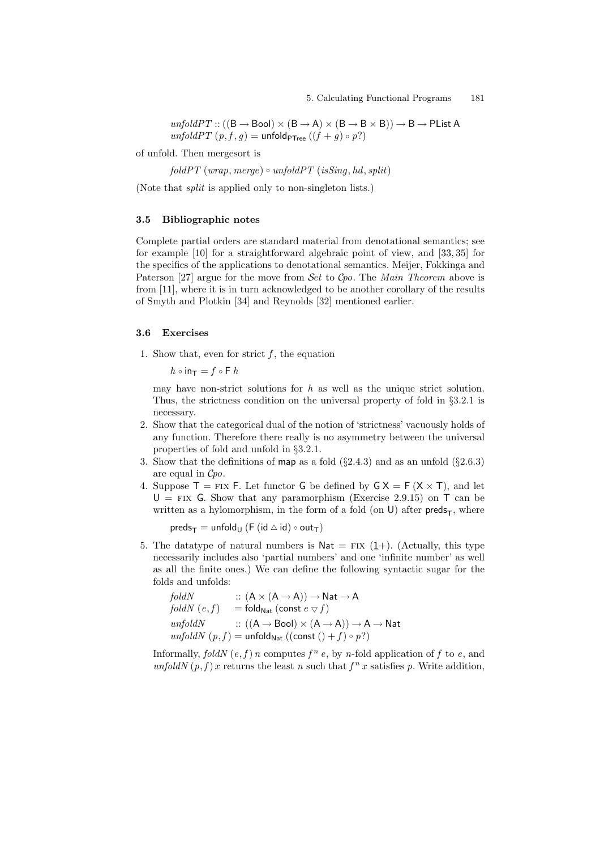$unfoldPT :: ((B \rightarrow Bool) \times (B \rightarrow A) \times (B \rightarrow B \times B)) \rightarrow B \rightarrow Plist A$  $unfoldPT(p, f, g) = unfoldPT_{\text{Tree}}((f + g) \circ p?)$ 

of unfold. Then mergesort is

*foldPT* (*wrap*, *merge*) ◦ *unfoldPT* (*isSing*, *hd*, *split*)

(Note that *split* is applied only to non-singleton lists.)

### **3.5 Bibliographic notes**

Complete partial orders are standard material from denotational semantics; see for example [10] for a straightforward algebraic point of view, and [33, 35] for the specifics of the applications to denotational semantics. Meijer, Fokkinga and Paterson [27] argue for the move from S*et* to C*po*. The *Main Theorem* above is from [11], where it is in turn acknowledged to be another corollary of the results of Smyth and Plotkin [34] and Reynolds [32] mentioned earlier.

#### **3.6 Exercises**

1. Show that, even for strict  $f$ , the equation

$$
h \circ \mathsf{in}_{\mathsf{T}} = f \circ \mathsf{F} \, h
$$

may have non-strict solutions for *h* as well as the unique strict solution. Thus, the strictness condition on the universal property of fold in §3.2.1 is necessary.

- 2. Show that the categorical dual of the notion of 'strictness' vacuously holds of any function. Therefore there really is no asymmetry between the universal properties of fold and unfold in §3.2.1.
- 3. Show that the definitions of map as a fold  $(\S2.4.3)$  and as an unfold  $(\S2.6.3)$ are equal in C*po*.
- 4. Suppose  $T = FIX$  F. Let functor G be defined by  $GX = F(X \times T)$ , and let  $U = FIX$  G. Show that any paramorphism (Exercise 2.9.15) on T can be written as a hylomorphism, in the form of a fold (on U) after  $\mathsf{preds}_{\tau}$ , where

 $\mathsf{preds}_{\mathsf{T}} = \mathsf{unfold}_{\mathsf{U}}\ (\mathsf{F} \ (\mathsf{id} \wedge \mathsf{id}) \circ \mathsf{out}_{\mathsf{T}})$ 

5. The datatype of natural numbers is  $\text{Nat} = \text{Fix } (\underline{1+})$ . (Actually, this type necessarily includes also 'partial numbers' and one 'infinite number' as well as all the finite ones.) We can define the following syntactic sugar for the folds and unfolds:

```
foldN :: (A \times (A \rightarrow A)) \rightarrow Nat \rightarrow AfoldN (e, f) = fold<sub>Nat</sub> (const e \vee f)
unfoldN :: ((A \rightarrow Bool) \times (A \rightarrow A)) \rightarrow A \rightarrow NatunfoldN(p, f) = unfold_{Nat}((const() + f) \circ p?)
```
Informally, *foldN*  $(e, f)$  *n* computes  $f^n$  *e*, by *n*-fold application of *f* to *e*, and *unfoldN*  $(p, f)x$  returns the least *n* such that  $f^n x$  satisfies *p*. Write addition,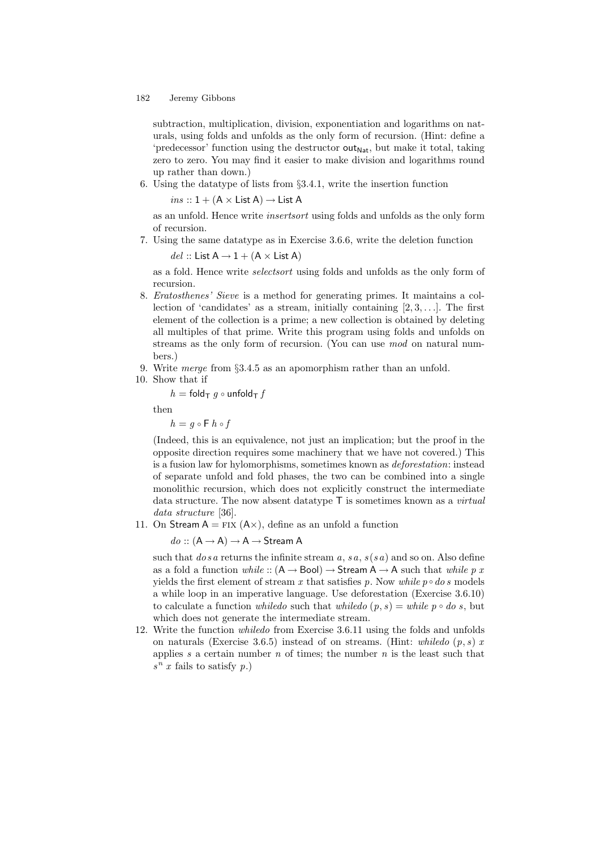subtraction, multiplication, division, exponentiation and logarithms on naturals, using folds and unfolds as the only form of recursion. (Hint: define a 'predecessor' function using the destructor  $\text{out}_{\text{Nat}}$ , but make it total, taking zero to zero. You may find it easier to make division and logarithms round up rather than down.)

6. Using the datatype of lists from §3.4.1, write the insertion function

*ins* ::  $1 + (A \times List A) \rightarrow List A$ 

as an unfold. Hence write *insertsort* using folds and unfolds as the only form of recursion.

7. Using the same datatype as in Exercise 3.6.6, write the deletion function

 $del$  :: List  $A \rightarrow 1 + (A \times List A)$ 

as a fold. Hence write *selectsort* using folds and unfolds as the only form of recursion.

- 8. *Eratosthenes' Sieve* is a method for generating primes. It maintains a collection of 'candidates' as a stream, initially containing  $[2, 3, \ldots]$ . The first element of the collection is a prime; a new collection is obtained by deleting all multiples of that prime. Write this program using folds and unfolds on streams as the only form of recursion. (You can use *mod* on natural numbers.)
- 9. Write *merge* from §3.4.5 as an apomorphism rather than an unfold.
- 10. Show that if

$$
h = \text{fold}_{\mathsf{T}}\ g \circ \text{unfold}_{\mathsf{T}}\ f
$$

then

 $h = q \circ \mathsf{F} h \circ f$ 

(Indeed, this is an equivalence, not just an implication; but the proof in the opposite direction requires some machinery that we have not covered.) This is a fusion law for hylomorphisms, sometimes known as *deforestation*: instead of separate unfold and fold phases, the two can be combined into a single monolithic recursion, which does not explicitly construct the intermediate data structure. The now absent datatype T is sometimes known as a *virtual data structure* [36].

11. On Stream  $A = FIX (A \times)$ , define as an unfold a function

 $do :: (A \rightarrow A) \rightarrow A \rightarrow$  Stream A

such that *do s a* returns the infinite stream *a*, *s a*, *s* (*s a*) and so on. Also define as a fold a function *while* :: ( $A \rightarrow$  Bool)  $\rightarrow$  Stream  $A \rightarrow A$  such that *while* p x yields the first element of stream  $x$  that satisfies  $p$ . Now *while*  $p \circ d \circ s$  models a while loop in an imperative language. Use deforestation (Exercise 3.6.10) to calculate a function *whiledo* such that *whiledo*  $(p, s) =$  *while*  $p \circ d \circ s$ , but which does not generate the intermediate stream.

12. Write the function *whiledo* from Exercise 3.6.11 using the folds and unfolds on naturals (Exercise 3.6.5) instead of on streams. (Hint: *whiledo*  $(p, s)$  *x* applies *s* a certain number *n* of times; the number *n* is the least such that  $s^n$  *x* fails to satisfy *p*.)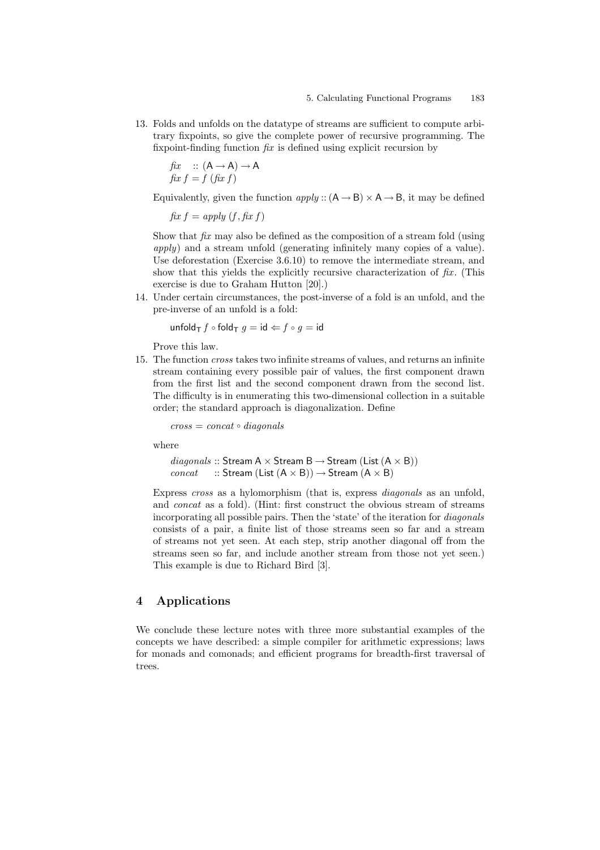13. Folds and unfolds on the datatype of streams are sufficient to compute arbitrary fixpoints, so give the complete power of recursive programming. The fixpoint-finding function *fix* is defined using explicit recursion by

$$
\begin{array}{ll} \n\text{fix} & :: (\mathsf{A} \to \mathsf{A}) \to \mathsf{A} \\ \n\text{fix } f = f \text{ (fix } f) \n\end{array}
$$

Equivalently, given the function  $apply: (A \rightarrow B) \times A \rightarrow B$ , it may be defined

$$
fix f = apply (f, fix f)
$$

Show that *fix* may also be defined as the composition of a stream fold (using *apply*) and a stream unfold (generating infinitely many copies of a value). Use deforestation (Exercise 3.6.10) to remove the intermediate stream, and show that this yields the explicitly recursive characterization of *fix* . (This exercise is due to Graham Hutton [20].)

14. Under certain circumstances, the post-inverse of a fold is an unfold, and the pre-inverse of an unfold is a fold:

unfold<sub>T</sub> *f* ◦ fold<sub>T</sub> *g* = id  $\Leftarrow$  *f* ◦ *g* = id

Prove this law.

15. The function *cross* takes two infinite streams of values, and returns an infinite stream containing every possible pair of values, the first component drawn from the first list and the second component drawn from the second list. The difficulty is in enumerating this two-dimensional collection in a suitable order; the standard approach is diagonalization. Define

*cross* = *concat* ◦ *diagonals*

where

```
diagonals :: Stream A \times Stream B \rightarrow Stream (List (A \times B))
concat :: Stream (List (A \times B)) \rightarrow Stream (A \times B)
```
Express *cross* as a hylomorphism (that is, express *diagonals* as an unfold, and *concat* as a fold). (Hint: first construct the obvious stream of streams incorporating all possible pairs. Then the 'state' of the iteration for *diagonals* consists of a pair, a finite list of those streams seen so far and a stream of streams not yet seen. At each step, strip another diagonal off from the streams seen so far, and include another stream from those not yet seen.) This example is due to Richard Bird [3].

# **4 Applications**

We conclude these lecture notes with three more substantial examples of the concepts we have described: a simple compiler for arithmetic expressions; laws for monads and comonads; and efficient programs for breadth-first traversal of trees.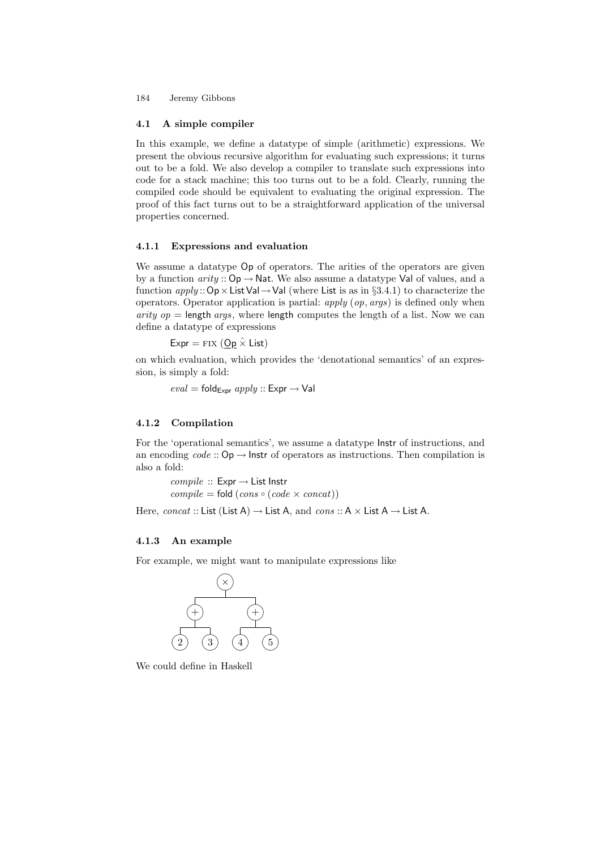#### **4.1 A simple compiler**

In this example, we define a datatype of simple (arithmetic) expressions. We present the obvious recursive algorithm for evaluating such expressions; it turns out to be a fold. We also develop a compiler to translate such expressions into code for a stack machine; this too turns out to be a fold. Clearly, running the compiled code should be equivalent to evaluating the original expression. The proof of this fact turns out to be a straightforward application of the universal properties concerned.

# **4.1.1 Expressions and evaluation**

We assume a datatype  $\mathsf{Op}$  of operators. The arities of the operators are given by a function  $arity$ :  $Op \rightarrow Nat$ . We also assume a datatype Val of values, and a function  $apply$  :: Op  $\times$  List Val  $\rightarrow$  Val (where List is as in §3.4.1) to characterize the operators. Operator application is partial: *apply* (*op*, *args*) is defined only when  $arity op = length args$ , where length computes the length of a list. Now we can define a datatype of expressions

Expr = FIX  $(Qp \times$  List)

on which evaluation, which provides the 'denotational semantics' of an expression, is simply a fold:

 $eval = \text{fold}_{\text{Expr}} apply :: \text{Expr} \rightarrow \text{Val}$ 

### **4.1.2 Compilation**

For the 'operational semantics', we assume a datatype Instr of instructions, and an encoding  $code: \mathsf{Op} \to \mathsf{Instr}$  of operators as instructions. Then compilation is also a fold:

*compile* :: Expr → List Instr  $complete = fold (cons \circ (code \times concat))$ 

Here, *concat* :: List (List A)  $\rightarrow$  List A, and *cons* :: A  $\times$  List A  $\rightarrow$  List A.

# **4.1.3 An example**

For example, we might want to manipulate expressions like



We could define in Haskell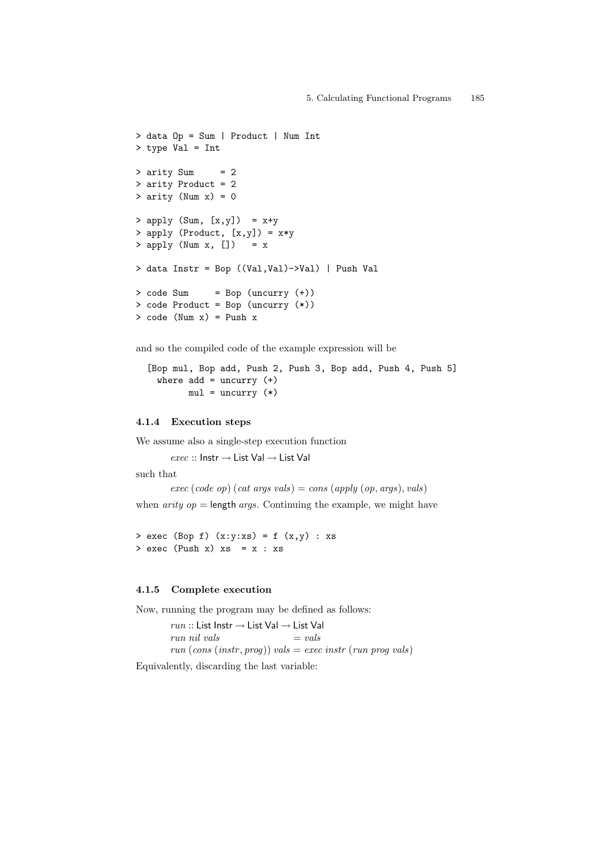```
> data Op = Sum | Product | Num Int
> type Val = Int
> arity Sum = 2
> arity Product = 2
> arity (Num x) = 0
> apply (Sum, [x,y]) = x+y> apply (Product, [x,y]) = x*y
> apply (Num x, []) = x
> data Instr = Bop ((Val,Val)->Val) | Push Val
> code Sum = Bop (uncurry (+))
> code Product = Bop (uncurry (*))
> code (Num x) = Push x
```
and so the compiled code of the example expression will be

[Bop mul, Bop add, Push 2, Push 3, Bop add, Push 4, Push 5] where  $add = uncurry (+)$  $mul = uncurry (*)$ 

# **4.1.4 Execution steps**

We assume also a single-step execution function

*exec* :: Instr → List Val → List Val

such that

*exec* (*code op*) (*cat args vals*) = *cons* (*apply* (*op*, *args*), *vals*)

when *arity op* = length *args*. Continuing the example, we might have

 $>$  exec (Bop f) (x:y:xs) = f (x,y) : xs  $>$  exec (Push x)  $xs = x : xs$ 

# **4.1.5 Complete execution**

Now, running the program may be defined as follows:

*run* :: List Instr → List Val → List Val *run nil vals* = *vals run* (*cons* (*instr* , *prog*)) *vals* = *exec instr* (*run prog vals*)

Equivalently, discarding the last variable: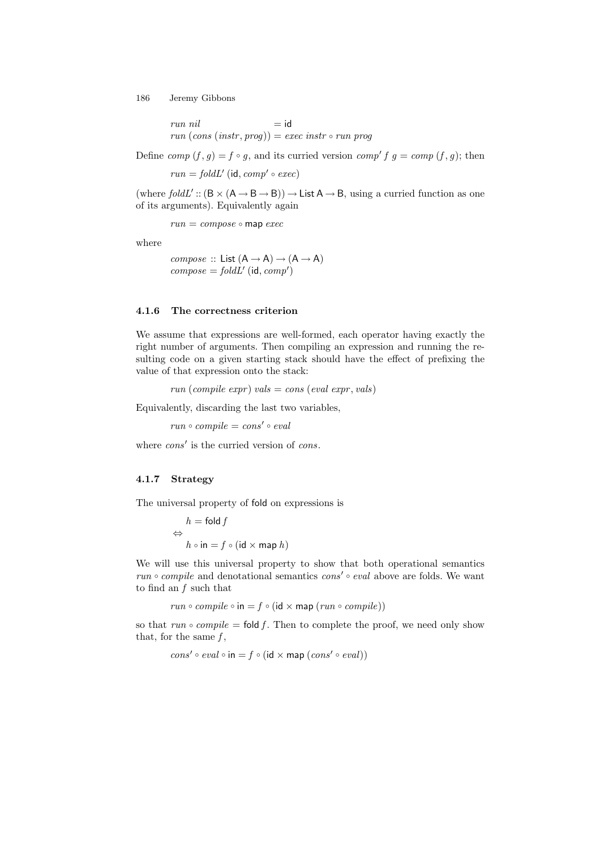$run\ nil$  = id  $run (cons (instr, prog)) = exec instr \circ run prog$ 

Define *comp*  $(f, g) = f \circ g$ , and its curried version *comp'*  $f g = comp(f, g)$ ; then

 $run = foldL'$  (id,  $comp' \circ exec$ )

(where  $foldL' :: (B \times (A \rightarrow B \rightarrow B)) \rightarrow List A \rightarrow B$ , using a curried function as one of its arguments). Equivalently again

*run* = *compose* ◦ map *exec*

where

 $\textit{composite} :: \textsf{List} (A \rightarrow A) \rightarrow (A \rightarrow A)$  $\mathit{composite} = \mathit{foldL}'(\mathsf{id}, \mathit{comp}')$ 

### **4.1.6 The correctness criterion**

We assume that expressions are well-formed, each operator having exactly the right number of arguments. Then compiling an expression and running the resulting code on a given starting stack should have the effect of prefixing the value of that expression onto the stack:

 $run (compile expr) vals = cons (eval expr, vals)$ 

Equivalently, discarding the last two variables,

*run* ◦ *compile* = *cons* ◦ *eval*

where *cons'* is the curried version of *cons*.

# **4.1.7 Strategy**

The universal property of fold on expressions is

 $h =$  fold  $f$ ⇔  $h \circ \text{in} = f \circ (\text{id} \times \text{map } h)$ 

We will use this universal property to show that both operational semantics *run* ◦ *compile* and denotational semantics *cons*' ◦ *eval* above are folds. We want to find an *f* such that

 $run \circ compile \circ in = f \circ (id \times map (run \circ compile))$ 

so that  $run \circ compile = fold f$ . Then to complete the proof, we need only show that, for the same *f* ,

 $cons' \circ eval \circ in = f \circ (id \times map (cons' \circ eval))$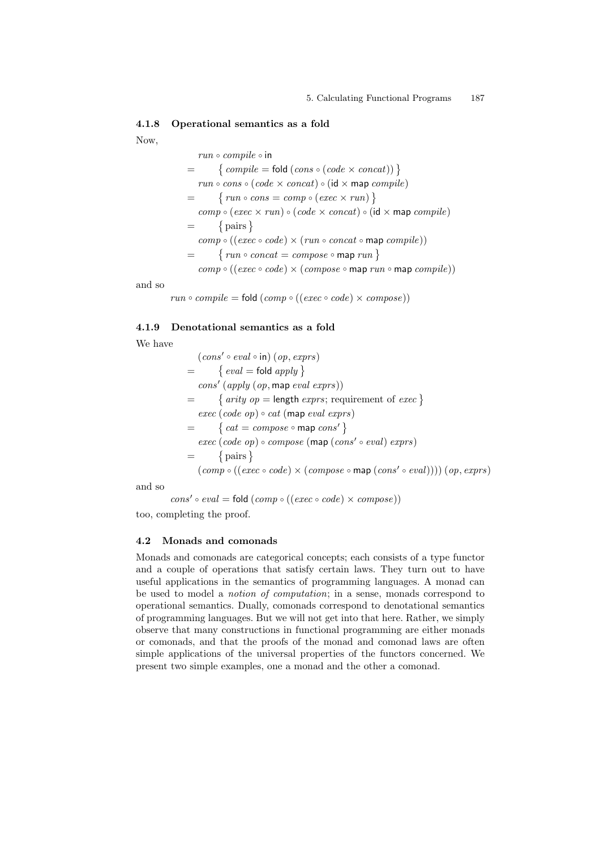# **4.1.8 Operational semantics as a fold**

Now,

*run* ◦ *compile* ◦ in  $=$  {  $complete = fold (cons \circ (code \times concat))$ }  $run \circ cons \circ (code \times concat) \circ (id \times map \; compile)$  $=$   $\{ run \circ cons = comp \circ (exec \times run) \}$  $comp \circ (exec \times run) \circ (code \times concat) \circ (id \times map compile)$ =  $_{\text{pairs}}\}$  $comp \circ ((exec \circ code) \times (run \circ concat \circ map compile))$  $=$   $\{ run \circ concat = compose \circ map run \}$  $comp \circ ((exec \circ code) \times (compose \circ map run \circ map compile))$ 

and so

 $run \circ compile = fold (comp \circ ((exec \circ code) \times compose))$ 

# **4.1.9 Denotational semantics as a fold**

We have

$$
(\cos' \circ \text{eval} \circ \text{in}) (\text{op}, \text{express})
$$
\n
$$
= \{ \text{eval} = \text{fold } apply \}
$$
\n
$$
\cos' (\text{apply} (\text{op}, \text{map } \text{eval } \text{express}))
$$
\n
$$
= \{ \text{arity } op = \text{length } \text{express}; \text{ requirement of } \text{exec} \}
$$
\n
$$
\text{exec} (\text{code } op) \circ \text{cat} (\text{map } \text{eval } \text{express})
$$
\n
$$
= \{ \text{cat} = \text{composite} \circ \text{map } \text{cons}' \}
$$
\n
$$
\text{exec} (\text{code } op) \circ \text{composite} (\text{map} (\text{cons}' \circ \text{eval}) \text{ express})
$$
\n
$$
= \{ \text{pairs} \}
$$
\n
$$
(\text{comp} \circ ((\text{exec} \circ \text{code}) \times (\text{composite} \circ \text{map} (\text{cons}' \circ \text{eval})))) (\text{op}, \text{express})
$$

and so

 $cons' \circ eval = fold (comp \circ ((exec \circ code) \times compose))$ 

too, completing the proof.

# **4.2 Monads and comonads**

Monads and comonads are categorical concepts; each consists of a type functor and a couple of operations that satisfy certain laws. They turn out to have useful applications in the semantics of programming languages. A monad can be used to model a *notion of computation*; in a sense, monads correspond to operational semantics. Dually, comonads correspond to denotational semantics of programming languages. But we will not get into that here. Rather, we simply observe that many constructions in functional programming are either monads or comonads, and that the proofs of the monad and comonad laws are often simple applications of the universal properties of the functors concerned. We present two simple examples, one a monad and the other a comonad.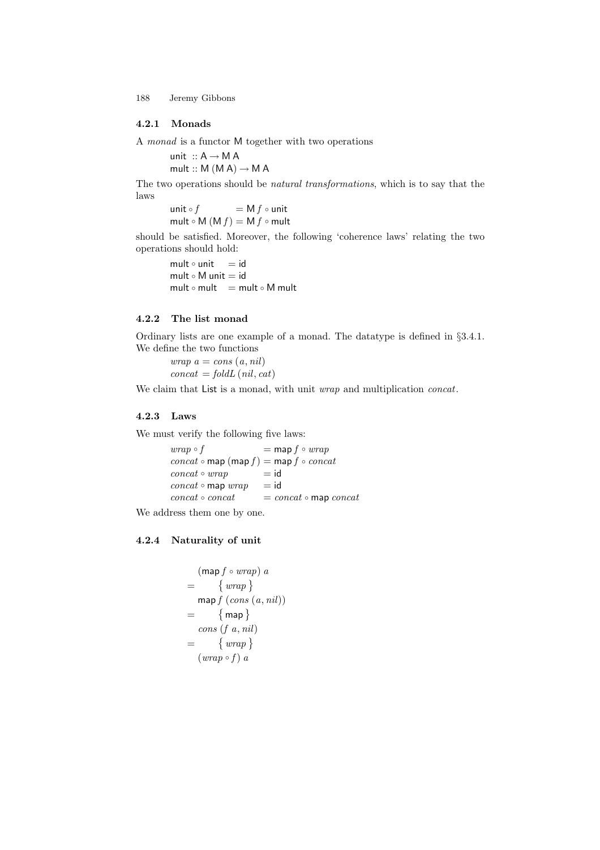# **4.2.1 Monads**

A *monad* is a functor M together with two operations

```
unit : A \rightarrow M Amult \colon M(MA) \to M A
```
The two operations should be *natural transformations*, which is to say that the laws

unit ∘ *f*  $= M f \circ \text{unit}$ mult ∘ M  $(M f) = M f ∘ mult$ 

should be satisfied. Moreover, the following 'coherence laws' relating the two operations should hold:

 $mult \circ unit = id$ mult  $\circ$  M unit = id mult ∘ mult = mult ∘ M mult

# **4.2.2 The list monad**

Ordinary lists are one example of a monad. The datatype is defined in §3.4.1. We define the two functions

 $w \in \mathit{cons}(a, \mathit{nil})$  $concat = foldL$  (*nil*, *cat*)

We claim that List is a monad, with unit *wrap* and multiplication *concat*.

# **4.2.3 Laws**

We must verify the following five laws:

 $wrap \circ f = \text{map } f \circ wrap$  $concat \circ \text{map} (\text{map } f) = \text{map } f \circ concat$  $concat \circ wrap = id$  $concat \circ map \ wrap = id$  $concat \circ concat = concat \circ \text{map} concat$ 

We address them one by one.

# **4.2.4 Naturality of unit**

```
(map f ◦ wrap) a
= { wrap }
 map f (cons (a, nil))
= \{ map \}cons (f a, nil)
= { wrap }
 (wrap ◦ f ) a
```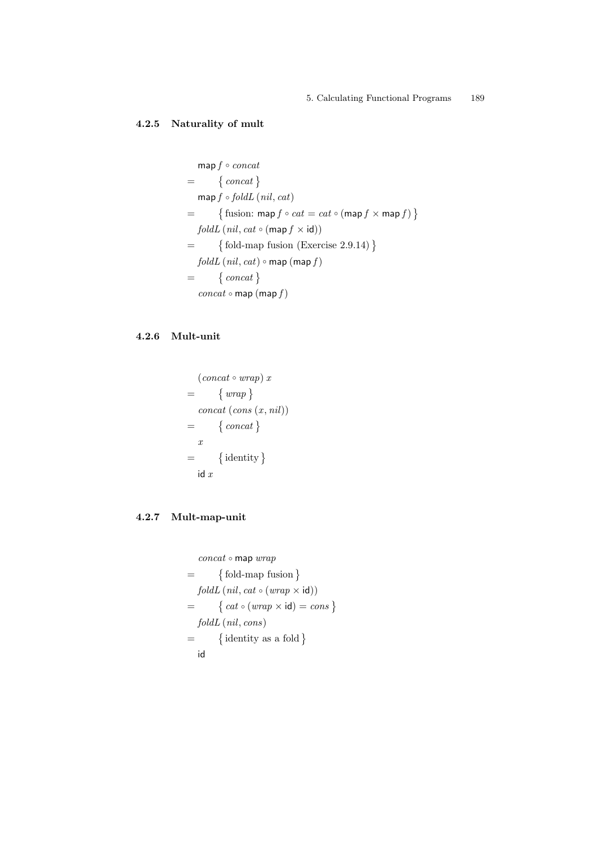# **4.2.5 Naturality of mult**

$$
\begin{aligned}\n&\text{map } f \circ concat \\
&= \left\{ \text{concat} \right\} \\
&\text{map } f \circ foldL \left( nil, cat \right) \\
&= \left\{ \text{fusion: } \text{map } f \circ cat = cat \circ (\text{map } f \times \text{map } f) \right\} \\
\text{foldL} \left( nil, cat \circ (\text{map } f \times \text{id}) \right) \\
&= \left\{ \text{fold-map fusion (Exercise 2.9.14)} \right\} \\
\text{foldL} \left( nil, cat \right) \circ \text{map} \left( \text{map } f \right) \\
&= \left\{ \text{concat} \right\} \\
\text{concat} \circ \text{map} \left( \text{map } f \right)\n\end{aligned}
$$

# **4.2.6 Mult-unit**

$$
(\text{concat} \circ \text{wrap}) x
$$
\n
$$
= \{ \text{ wrap} \}
$$
\n
$$
= \text{concat} (\text{cons} (x, \text{nil}))
$$
\n
$$
= \{ \text{concat} \}
$$
\n
$$
x
$$
\n
$$
= \{ \text{identity} \}
$$
\n
$$
id x
$$

# **4.2.7 Mult-map-unit**

$$
concat \circ \text{map wrap}
$$
\n
$$
= \{ \text{fold-map fusion} \}
$$
\n
$$
foldL \left( nil, cat \circ (wrap \times id) \right)
$$
\n
$$
= \{ cat \circ (wrap \times id) = cons \}
$$
\n
$$
foldL \left( nil, cons \right)
$$
\n
$$
= \{ \text{identity as a fold} \}
$$
\n
$$
id
$$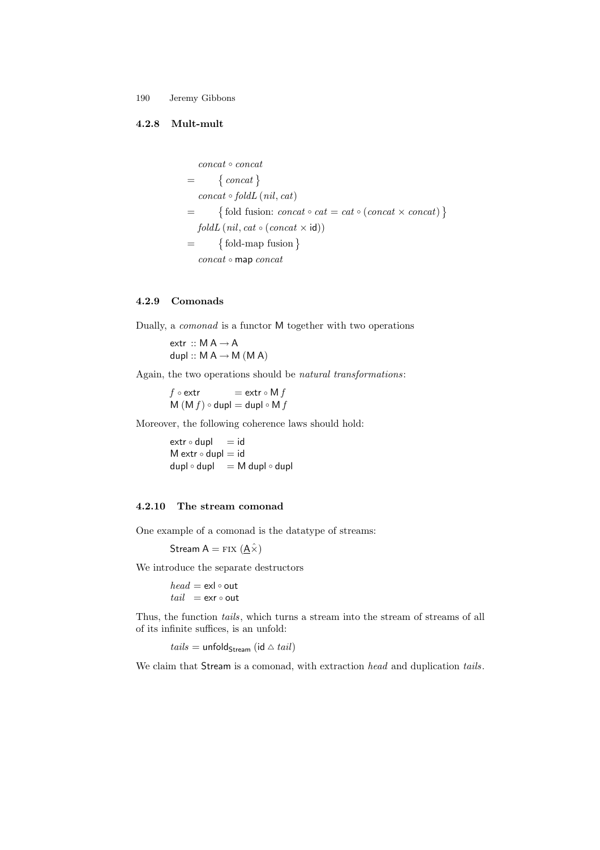### **4.2.8 Mult-mult**

*concat* ◦ *concat*  $= \{concat\}$ *concat* ◦ *foldL* (*nil*, *cat*)  $=$  {fold fusion: *concat* ◦ *cat* = *cat* ◦ (*concat* × *concat*) } *foldL*  $(nil, cat \circ (concat \times id))$ = fold-map fusion $\}$ *concat* ◦ map *concat*

# **4.2.9 Comonads**

Dually, a *comonad* is a functor M together with two operations

extr  $:: M A \rightarrow A$ dupl  $:: M A \rightarrow M (MA)$ 

Again, the two operations should be *natural transformations*:

 $f \circ \text{extr}$  = extr  $\circ$  M *f*  $M (M f) \circ \text{dupl} = \text{dupl} \circ M f$ 

Moreover, the following coherence laws should hold:

 $extr \circ dupl = id$ M extr  $\circ$  dupl  $=$  id  $d$ upl ∘ dupl = M dupl ∘ dupl

# **4.2.10 The stream comonad**

One example of a comonad is the datatype of streams:

Stream  $A = FIX (A\hat{x})$ 

We introduce the separate destructors

*head* = exl ◦ out *tail* = exr ◦ out

Thus, the function *tails*, which turns a stream into the stream of streams of all of its infinite suffices, is an unfold:

 $\mathit{tails} = \mathsf{unfold}_{\mathsf{Stream}} \left(\mathsf{id} \wedge \mathit{tail}\right)$ 

We claim that Stream is a comonad, with extraction *head* and duplication *tails*.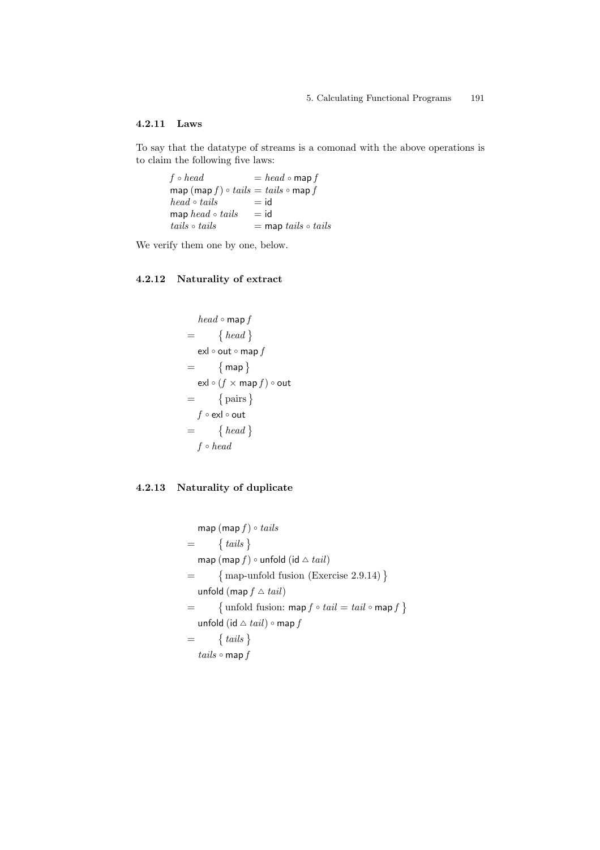# **4.2.11 Laws**

To say that the datatype of streams is a comonad with the above operations is to claim the following five laws:

 $f \circ head$  =  $head \circ map f$ map  $(\text{map } f) \circ tails = tails \circ \text{map } f$ <br>  $head \circ tails = id$  $head \circ tails$  $\begin{array}{ll}\n\text{map } head \circ tails & = \text{id} \\
\text{tails } \circ tails & = \text{m}\n\end{array}$ *tails* ◦ *tails* = map *tails* ◦ *tails*

We verify them one by one, below.

# **4.2.12 Naturality of extract**

$$
head \circ map f
$$
\n
$$
= \{head\}
$$
\n
$$
ext{end}\circ out \circ map f
$$
\n
$$
= \{map\}
$$
\n
$$
ext{end}\circ (f \times map f) \circ out
$$
\n
$$
= \{pairs\}
$$
\n
$$
f \circ ext \circ out
$$
\n
$$
= \{head\}
$$

# **4.2.13 Naturality of duplicate**

map (map *f* ) ◦ *tails*  $=$  { tails } map  $(\textsf{map}\, f)\circ$  unfold  $(\textsf{id} \mathbin{\vartriangle} tail)$ = map-unfold fusion (Exercise  $2.9.14$ )  ${\sf unfold\ }({\sf map}\,f \mathrel{\vartriangle} tail)$ =  $\text{unfold}$  fusion: map  $f ∘ tail = tail ∘ \text{map } f$ unfold (id - *tail*) ◦ map *f* =  $tails\}$ *tails* ◦ map *f*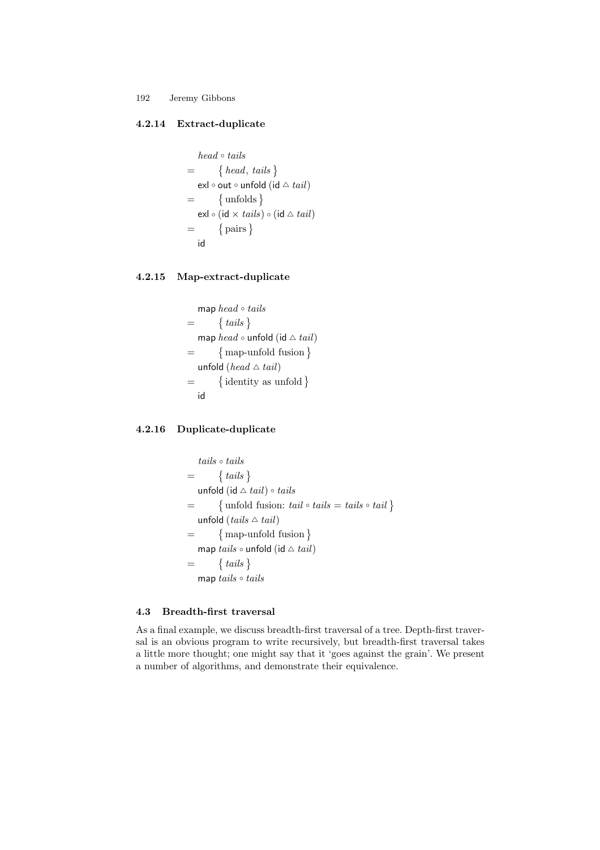# **4.2.14 Extract-duplicate**

$$
head \circ tails
$$
\n
$$
= \{ head, tails \}
$$
\n
$$
= \{ value \circ out \circ until old (id \triangle tail)
$$
\n
$$
= \{ until old \circ (id \triangle tail) \circ (id \triangle tail)
$$
\n
$$
= \{ pairs \}
$$
\n
$$
id
$$

# **4.2.15 Map-extract-duplicate**

$$
\begin{aligned}\n\text{map } head \circ tails \\
&= \{ \{ \text{tails } \} \\
&= \text{map } head \circ \text{unfold} \ (\text{id} \triangle tail) \\
&= \{ \text{map-unfold fusion } \} \\
&= \{ \text{identity as unfolded } \} \\
&= \text{id}\n\end{aligned}
$$

# **4.2.16 Duplicate-duplicate**

$$
tails \circ tails
$$
\n
$$
= \{ tails \}
$$
\n
$$
= \{ units \} \quad \text{unfold } (id \triangle tail) \circ tails
$$
\n
$$
= \{ unfold (tails \triangle tail)
$$
\n
$$
= \{ map-unfold (using \triangle tail)
$$
\n
$$
= \{ map -unfold (id \triangle tail)
$$
\n
$$
= \{ tails \} \quad \text{map } tails \circ tails
$$
\n
$$
= \{ tails \} \quad \text{map } tails \circ tails
$$

# **4.3 Breadth-first traversal**

As a final example, we discuss breadth-first traversal of a tree. Depth-first traversal is an obvious program to write recursively, but breadth-first traversal takes a little more thought; one might say that it 'goes against the grain'. We present a number of algorithms, and demonstrate their equivalence.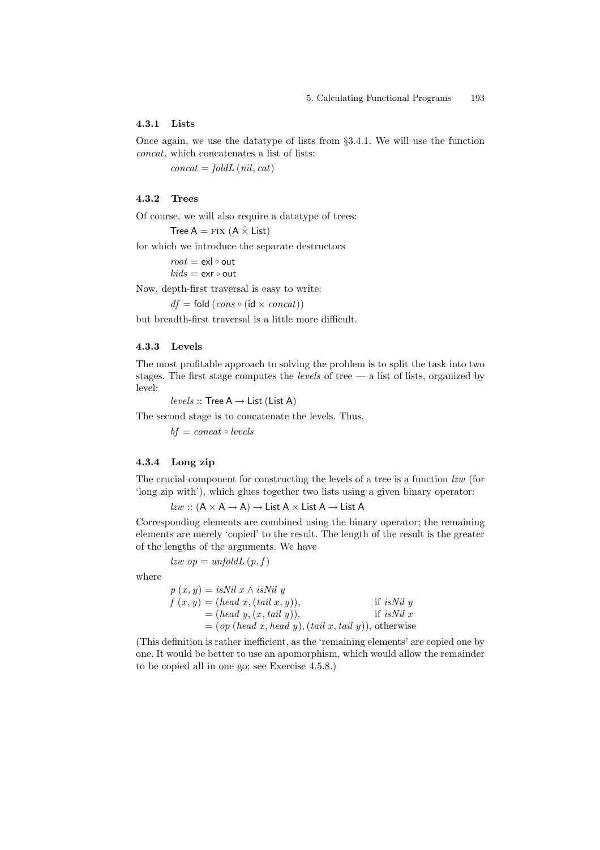#### **4.3.1 Lists**

Once again, we use the datatype of lists from §3.4.1. We will use the function *concat*, which concatenates a list of lists:

 $concat = foldL$  (*nil*, *cat*)

# **4.3.2 Trees**

Of course, we will also require a datatype of trees:

Tree  $A = FIX$  ( $\stackrel{\frown}{A} \hat{\times}$  List)

for which we introduce the separate destructors

 $root =$ exl ∘ out *kids* = exr ◦ out

Now, depth-first traversal is easy to write:

 $df =$  fold  $(cons \circ (id \times concat))$ 

but breadth-first traversal is a little more difficult.

### **4.3.3 Levels**

The most profitable approach to solving the problem is to split the task into two stages. The first stage computes the *levels* of tree — a list of lists, organized by level:

 $levels :: Tree A \rightarrow List (List A)$ 

The second stage is to concatenate the levels. Thus,

*bf* = *concat* ◦ *levels*

## **4.3.4 Long zip**

The crucial component for constructing the levels of a tree is a function *lzw* (for 'long zip with'), which glues together two lists using a given binary operator:

 $lzw::(A \times A \rightarrow A) \rightarrow$  List  $A \times$  List  $A \rightarrow$  List A

Corresponding elements are combined using the binary operator; the remaining elements are merely 'copied' to the result. The length of the result is the greater of the lengths of the arguments. We have

 $lzw$   $op = \n{unfoldL(p, f)}$ 

where

 $p(x, y) = i sNil x \wedge i sNil y$  $f(x, y) = (head x, (tail x, y)),$  if *isNil y*  $=(\text{head } y, (x, \text{tail } y)),$  if *isNil x*  $=(op (head x, head y), (tail x, tail y))$ , otherwise

(This definition is rather inefficient, as the 'remaining elements' are copied one by one. It would be better to use an apomorphism, which would allow the remainder to be copied all in one go; see Exercise 4.5.8.)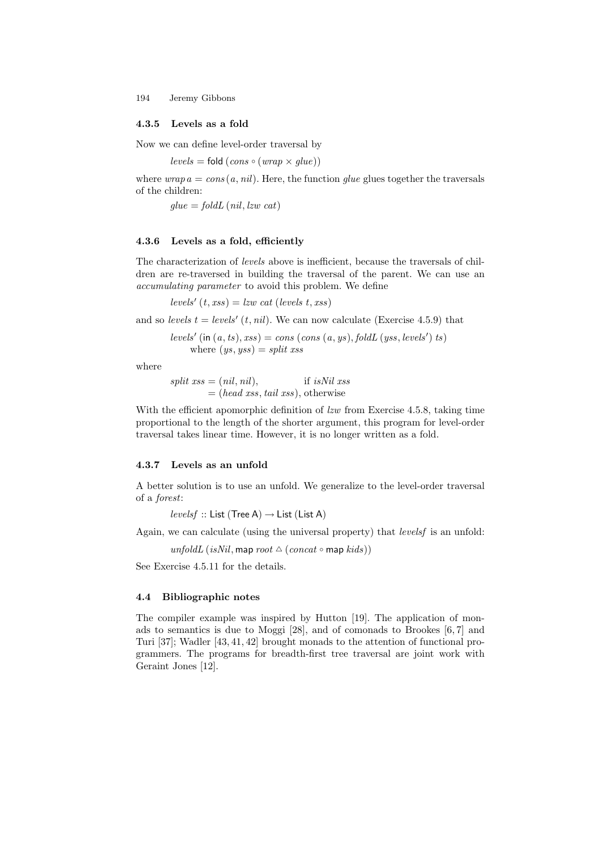### **4.3.5 Levels as a fold**

Now we can define level-order traversal by

 $levels = fold (cons \circ (wrap \times glue))$ 

where  $wrap \, a = \cos(a, nil)$ . Here, the function *glue* glues together the traversals of the children:

*glue* = *foldL* (*nil*, *lzw cat*)

# **4.3.6 Levels as a fold, efficiently**

The characterization of *levels* above is inefficient, because the traversals of children are re-traversed in building the traversal of the parent. We can use an *accumulating parameter* to avoid this problem. We define

 $levels'$   $(t, xs) = lzw$   $cat$   $(levels t, xs)$ 

and so *levels t* = *levels'* (*t*, *nil*). We can now calculate (Exercise 4.5.9) that

levels' (in 
$$
(a, ts), xs
$$
) = cons (cons  $(a, ys), foldL$  (yss, levels') ts)  
where  $(ys, yss) = split xs$ 

where

*split xss* = (*nil*, *nil*), if *isNil xss* = (*head xss*,*tail xss*), otherwise

With the efficient apomorphic definition of *lzw* from Exercise 4.5.8, taking time proportional to the length of the shorter argument, this program for level-order traversal takes linear time. However, it is no longer written as a fold.

### **4.3.7 Levels as an unfold**

A better solution is to use an unfold. We generalize to the level-order traversal of a *forest*:

 $levelsf :: List (Tree A) \rightarrow List (List A)$ 

Again, we can calculate (using the universal property) that *levelsf* is an unfold:

 $unfoldL$   $(isNil,$  map  $root \triangle (concat \circ$  map  $kids))$ 

See Exercise 4.5.11 for the details.

#### **4.4 Bibliographic notes**

The compiler example was inspired by Hutton [19]. The application of monads to semantics is due to Moggi [28], and of comonads to Brookes [6, 7] and Turi [37]; Wadler [43, 41, 42] brought monads to the attention of functional programmers. The programs for breadth-first tree traversal are joint work with Geraint Jones [12].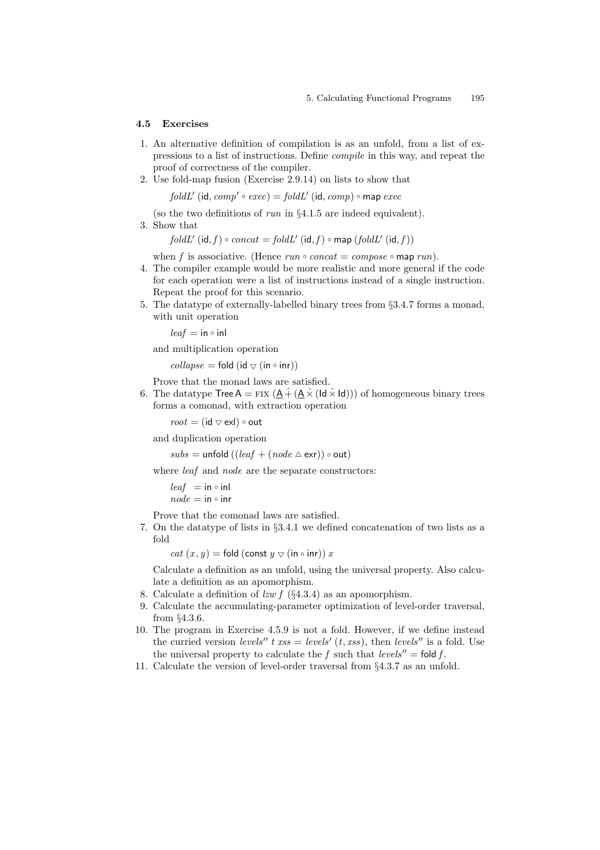#### **4.5 Exercises**

- 1. An alternative definition of compilation is as an unfold, from a list of expressions to a list of instructions. Define *compile* in this way, and repeat the proof of correctness of the compiler.
- 2. Use fold-map fusion (Exercise 2.9.14) on lists to show that

*foldL'* (id,  $comp' \circ exec$ ) = *foldL'* (id,  $comp) \circ map exec$ 

- (so the two definitions of *run* in §4.1.5 are indeed equivalent).
- 3. Show that

*foldL'* ( $id, f$ ) ∘ *concat* = *foldL'* ( $id, f$ ) ∘ map ( $foldL'$  ( $id, f$ ))

when *f* is associative. (Hence  $run \circ concat = compose \circ map run$ ).

- 4. The compiler example would be more realistic and more general if the code for each operation were a list of instructions instead of a single instruction. Repeat the proof for this scenario.
- 5. The datatype of externally-labelled binary trees from §3.4.7 forms a monad, with unit operation

 $leaf = in \circ in$ 

and multiplication operation

 $collapse =$  fold (id  $\triangledown$  (in ∘ inr))

Prove that the monad laws are satisfied.

6. The datatype Tree A = FIX  $(A \hat{+} (A \hat{\times} (Id \hat{\times} Id)))$  of homogeneous binary trees forms a comonad, with extraction operation

 $root = (id \vee exl) \circ out$ 

and duplication operation

 $subs =$  unfold  $((leaf + (node \triangle \text{exr})) \circ \text{out})$ 

where *leaf* and *node* are the separate constructors:

 $leaf = in \circ in$  $node = in \circ inr$ 

Prove that the comonad laws are satisfied.

7. On the datatype of lists in §3.4.1 we defined concatenation of two lists as a fold

*cat*  $(x, y)$  = fold (const  $y \vee ($  in  $\circ$  inr)) *x* 

Calculate a definition as an unfold, using the universal property. Also calculate a definition as an apomorphism.

- 8. Calculate a definition of *lzw f* (§4.3.4) as an apomorphism.
- 9. Calculate the accumulating-parameter optimization of level-order traversal, from §4.3.6.
- 10. The program in Exercise 4.5.9 is not a fold. However, if we define instead the curried version *levels''*  $t$  *xss* = *levels'*  $(t, xs)$ , then *levels''* is a fold. Use the universal property to calculate the  $f$  such that  $levels'' = \text{fold } f$ .
- 11. Calculate the version of level-order traversal from §4.3.7 as an unfold.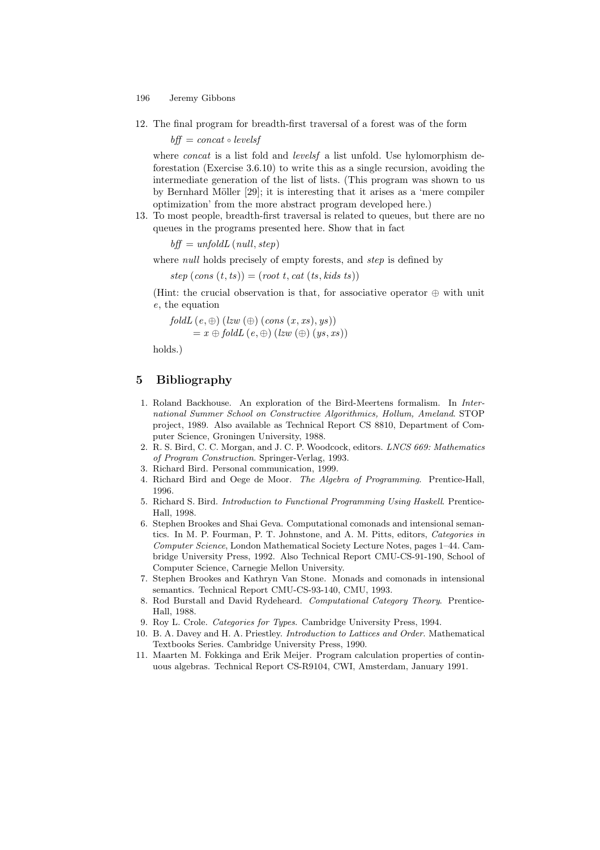- 196 Jeremy Gibbons
- 12. The final program for breadth-first traversal of a forest was of the form

*bff* = *concat* ◦ *levelsf*

where *concat* is a list fold and *levelsf* a list unfold. Use hylomorphism deforestation (Exercise 3.6.10) to write this as a single recursion, avoiding the intermediate generation of the list of lists. (This program was shown to us by Bernhard Möller  $[29]$ ; it is interesting that it arises as a 'mere compiler optimization' from the more abstract program developed here.)

13. To most people, breadth-first traversal is related to queues, but there are no queues in the programs presented here. Show that in fact

 $bff} = \text{unfoldL}(\text{null}, \text{step})$ 

where *null* holds precisely of empty forests, and *step* is defined by

 $step (cons (t, ts)) = (root t, cat (ts, kids ts))$ 

(Hint: the crucial observation is that, for associative operator  $\oplus$  with unit *e*, the equation

 $foldL(e, \oplus)$  (*lzw*  $(\oplus)$  (*cons*  $(x, xs), ys)$ )  $= x \oplus \text{foldL}(e, \oplus)$  (*lzw* ( $\oplus$ ) (*ys*, *xs*))

holds.)

# **5 Bibliography**

- 1. Roland Backhouse. An exploration of the Bird-Meertens formalism. In International Summer School on Constructive Algorithmics, Hollum, Ameland. STOP project, 1989. Also available as Technical Report CS 8810, Department of Computer Science, Groningen University, 1988.
- 2. R. S. Bird, C. C. Morgan, and J. C. P. Woodcock, editors. LNCS 669: Mathematics of Program Construction. Springer-Verlag, 1993.
- 3. Richard Bird. Personal communication, 1999.
- 4. Richard Bird and Oege de Moor. The Algebra of Programming. Prentice-Hall, 1996.
- 5. Richard S. Bird. Introduction to Functional Programming Using Haskell. Prentice-Hall, 1998.
- 6. Stephen Brookes and Shai Geva. Computational comonads and intensional semantics. In M. P. Fourman, P. T. Johnstone, and A. M. Pitts, editors, Categories in Computer Science, London Mathematical Society Lecture Notes, pages 1–44. Cambridge University Press, 1992. Also Technical Report CMU-CS-91-190, School of Computer Science, Carnegie Mellon University.
- 7. Stephen Brookes and Kathryn Van Stone. Monads and comonads in intensional semantics. Technical Report CMU-CS-93-140, CMU, 1993.
- 8. Rod Burstall and David Rydeheard. Computational Category Theory. Prentice-Hall, 1988.
- 9. Roy L. Crole. Categories for Types. Cambridge University Press, 1994.
- 10. B. A. Davey and H. A. Priestley. Introduction to Lattices and Order. Mathematical Textbooks Series. Cambridge University Press, 1990.
- 11. Maarten M. Fokkinga and Erik Meijer. Program calculation properties of continuous algebras. Technical Report CS-R9104, CWI, Amsterdam, January 1991.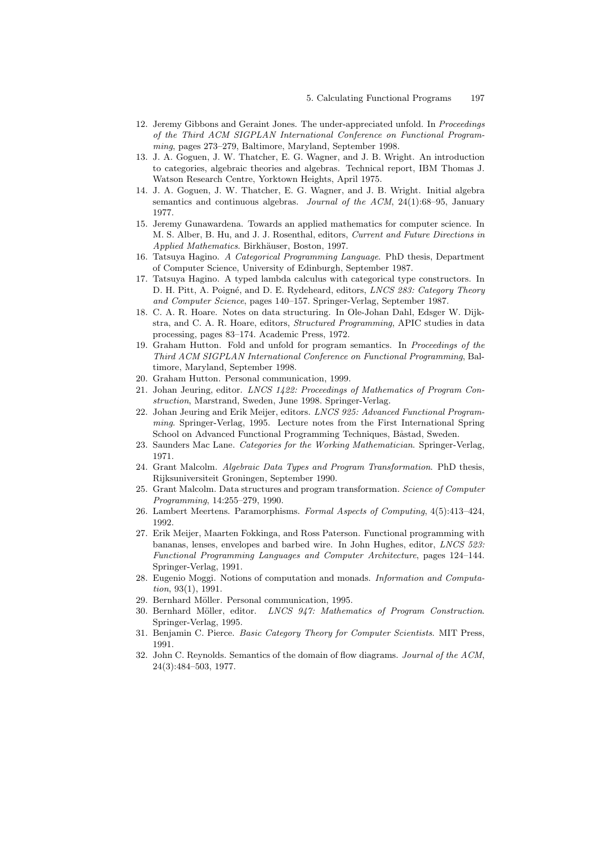- 12. Jeremy Gibbons and Geraint Jones. The under-appreciated unfold. In Proceedings of the Third ACM SIGPLAN International Conference on Functional Programming, pages 273–279, Baltimore, Maryland, September 1998.
- 13. J. A. Goguen, J. W. Thatcher, E. G. Wagner, and J. B. Wright. An introduction to categories, algebraic theories and algebras. Technical report, IBM Thomas J. Watson Research Centre, Yorktown Heights, April 1975.
- 14. J. A. Goguen, J. W. Thatcher, E. G. Wagner, and J. B. Wright. Initial algebra semantics and continuous algebras. Journal of the ACM, 24(1):68–95, January 1977.
- 15. Jeremy Gunawardena. Towards an applied mathematics for computer science. In M. S. Alber, B. Hu, and J. J. Rosenthal, editors, Current and Future Directions in Applied Mathematics. Birkhäuser, Boston, 1997.
- 16. Tatsuya Hagino. A Categorical Programming Language. PhD thesis, Department of Computer Science, University of Edinburgh, September 1987.
- 17. Tatsuya Hagino. A typed lambda calculus with categorical type constructors. In D. H. Pitt, A. Poigné, and D. E. Rydeheard, editors, LNCS 283: Category Theory and Computer Science, pages 140–157. Springer-Verlag, September 1987.
- 18. C. A. R. Hoare. Notes on data structuring. In Ole-Johan Dahl, Edsger W. Dijkstra, and C. A. R. Hoare, editors, Structured Programming, APIC studies in data processing, pages 83–174. Academic Press, 1972.
- 19. Graham Hutton. Fold and unfold for program semantics. In Proceedings of the Third ACM SIGPLAN International Conference on Functional Programming, Baltimore, Maryland, September 1998.
- 20. Graham Hutton. Personal communication, 1999.
- 21. Johan Jeuring, editor. LNCS 1422: Proceedings of Mathematics of Program Construction, Marstrand, Sweden, June 1998. Springer-Verlag.
- 22. Johan Jeuring and Erik Meijer, editors. LNCS 925: Advanced Functional Programming. Springer-Verlag, 1995. Lecture notes from the First International Spring School on Advanced Functional Programming Techniques, Båstad, Sweden.
- 23. Saunders Mac Lane. Categories for the Working Mathematician. Springer-Verlag, 1971.
- 24. Grant Malcolm. Algebraic Data Types and Program Transformation. PhD thesis, Rijksuniversiteit Groningen, September 1990.
- 25. Grant Malcolm. Data structures and program transformation. Science of Computer Programming, 14:255–279, 1990.
- 26. Lambert Meertens. Paramorphisms. Formal Aspects of Computing, 4(5):413–424, 1992.
- 27. Erik Meijer, Maarten Fokkinga, and Ross Paterson. Functional programming with bananas, lenses, envelopes and barbed wire. In John Hughes, editor, LNCS 523: Functional Programming Languages and Computer Architecture, pages 124–144. Springer-Verlag, 1991.
- 28. Eugenio Moggi. Notions of computation and monads. Information and Computation, 93(1), 1991.
- 29. Bernhard Möller. Personal communication, 1995.
- 30. Bernhard Möller, editor. LNCS 947: Mathematics of Program Construction. Springer-Verlag, 1995.
- 31. Benjamin C. Pierce. Basic Category Theory for Computer Scientists. MIT Press, 1991.
- 32. John C. Reynolds. Semantics of the domain of flow diagrams. Journal of the ACM, 24(3):484–503, 1977.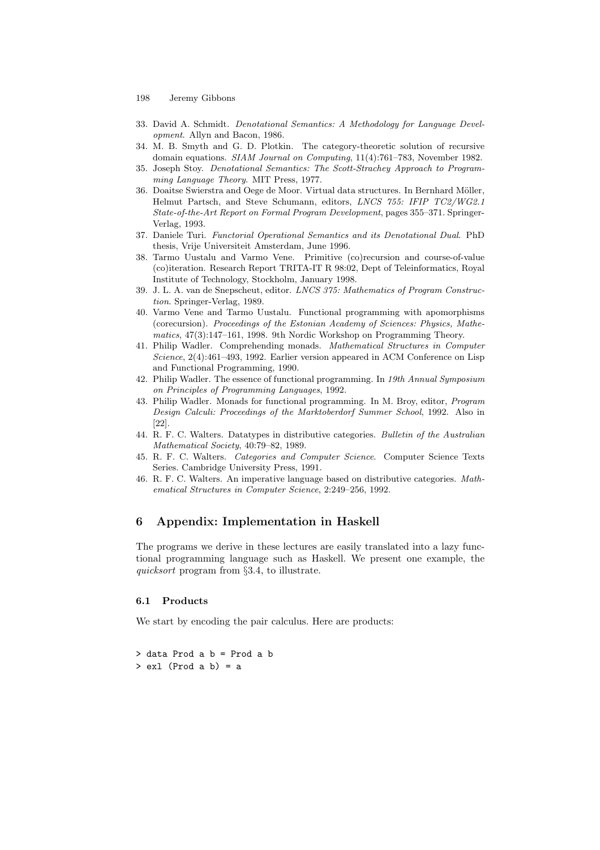- 198 Jeremy Gibbons
- 33. David A. Schmidt. Denotational Semantics: A Methodology for Language Development. Allyn and Bacon, 1986.
- 34. M. B. Smyth and G. D. Plotkin. The category-theoretic solution of recursive domain equations. SIAM Journal on Computing, 11(4):761–783, November 1982.
- 35. Joseph Stoy. Denotational Semantics: The Scott-Strachey Approach to Programming Language Theory. MIT Press, 1977.
- 36. Doaitse Swierstra and Oege de Moor. Virtual data structures. In Bernhard Möller, Helmut Partsch, and Steve Schumann, editors, LNCS 755: IFIP TC2/WG2.1 State-of-the-Art Report on Formal Program Development, pages 355–371. Springer-Verlag, 1993.
- 37. Daniele Turi. Functorial Operational Semantics and its Denotational Dual. PhD thesis, Vrije Universiteit Amsterdam, June 1996.
- 38. Tarmo Uustalu and Varmo Vene. Primitive (co)recursion and course-of-value (co)iteration. Research Report TRITA-IT R 98:02, Dept of Teleinformatics, Royal Institute of Technology, Stockholm, January 1998.
- 39. J. L. A. van de Snepscheut, editor. LNCS 375: Mathematics of Program Construction. Springer-Verlag, 1989.
- 40. Varmo Vene and Tarmo Uustalu. Functional programming with apomorphisms (corecursion). Proceedings of the Estonian Academy of Sciences: Physics, Mathematics, 47(3):147–161, 1998. 9th Nordic Workshop on Programming Theory.
- 41. Philip Wadler. Comprehending monads. Mathematical Structures in Computer Science, 2(4):461–493, 1992. Earlier version appeared in ACM Conference on Lisp and Functional Programming, 1990.
- 42. Philip Wadler. The essence of functional programming. In 19th Annual Symposium on Principles of Programming Languages, 1992.
- 43. Philip Wadler. Monads for functional programming. In M. Broy, editor, Program Design Calculi: Proceedings of the Marktoberdorf Summer School, 1992. Also in [22].
- 44. R. F. C. Walters. Datatypes in distributive categories. Bulletin of the Australian Mathematical Society, 40:79–82, 1989.
- 45. R. F. C. Walters. Categories and Computer Science. Computer Science Texts Series. Cambridge University Press, 1991.
- 46. R. F. C. Walters. An imperative language based on distributive categories. Mathematical Structures in Computer Science, 2:249–256, 1992.

# **6Appendix: Implementation in Haskell**

The programs we derive in these lectures are easily translated into a lazy functional programming language such as Haskell. We present one example, the *quicksort* program from §3.4, to illustrate.

# **6.1 Products**

We start by encoding the pair calculus. Here are products:

> data Prod a b = Prod a b  $>$  exl (Prod a b) = a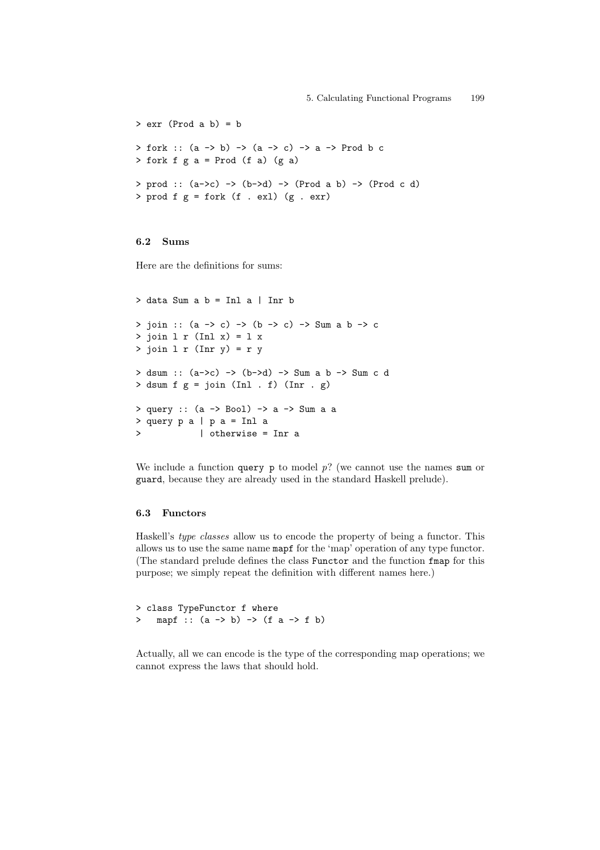```
> exr (Prod a b) = b
> fork :: (a -> b) -> (a -> c) -> a -> Prod b c
> fork f g a = Prod (f a) (g a)
> prod :: (a->c) -> (b->d) -> (Prod a b) -> (Prod c d)
> prod f g = fork (f . exl) (g . exr)
```
# **6.2 Sums**

Here are the definitions for sums:

```
> data Sum a b = Inl a | Inr b
> join :: (a -> c) -> (b -> c) -> Sum a b -> c
> join l r (Inl x) = l x
> join 1 r (Inr y) = r y> dsum :: (a->c) -> (b->d) -> Sum a b -> Sum c d
> dsum f g = join (Inl f) (Inr g)> query :: (a -> Bool) -> a -> Sum a a
> query p a | p a = Inl a
> | otherwise = Inr a
```
We include a function query p to model *p*? (we cannot use the names sum or guard, because they are already used in the standard Haskell prelude).

# **6.3 Functors**

Haskell's *type classes* allow us to encode the property of being a functor. This allows us to use the same name mapf for the 'map' operation of any type functor. (The standard prelude defines the class Functor and the function fmap for this purpose; we simply repeat the definition with different names here.)

> class TypeFunctor f where > mapf ::  $(a \rightarrow b) \rightarrow (f a \rightarrow f b)$ 

Actually, all we can encode is the type of the corresponding map operations; we cannot express the laws that should hold.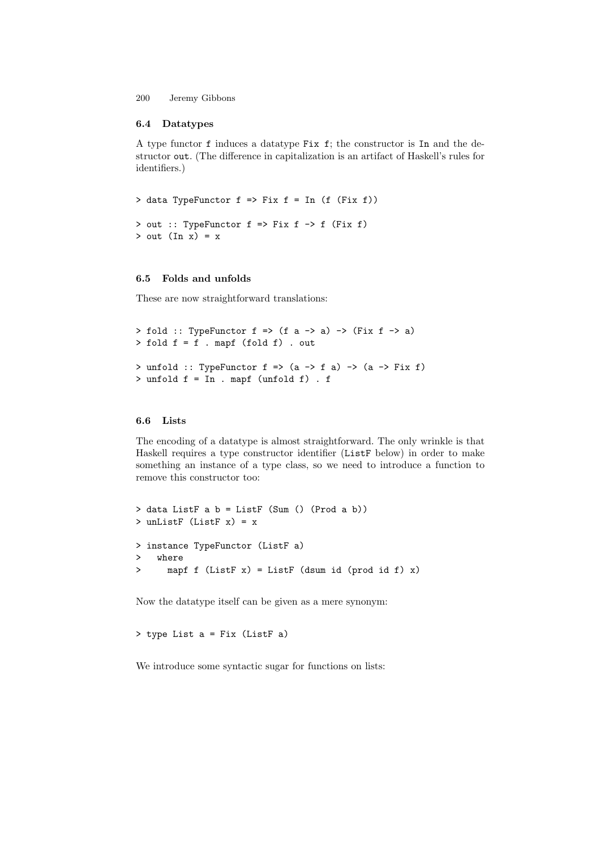#### **6.4 Datatypes**

A type functor f induces a datatype Fix f; the constructor is In and the destructor out. (The difference in capitalization is an artifact of Haskell's rules for identifiers.)

```
> data TypeFunctor f => Fix f = In (f (Fix f))
> out :: TypeFunctor f => Fix f -> f (Fix f)
> out (In x) = x
```
# **6.5 Folds and unfolds**

These are now straightforward translations:

```
> fold :: TypeFunctor f => (f a -> a) -> (Fix f -> a)
> fold f = f . mapf (fold f) . out
> unfold :: TypeFunctor f \Rightarrow (a \rightarrow f a) \Rightarrow (a \rightarrow Fix f)> unfold f = In . mapf (unfold f) . f
```
### **6.6 Lists**

The encoding of a datatype is almost straightforward. The only wrinkle is that Haskell requires a type constructor identifier (ListF below) in order to make something an instance of a type class, so we need to introduce a function to remove this constructor too:

```
> data ListF a b = ListF (Sum () (Prod a b))
> unListF (ListF x) = x
> instance TypeFunctor (ListF a)
> where
> mapf f (ListF x) = ListF (dsum id (prod id f) x)
```
Now the datatype itself can be given as a mere synonym:

```
> type List a = Fix (ListF a)
```
We introduce some syntactic sugar for functions on lists: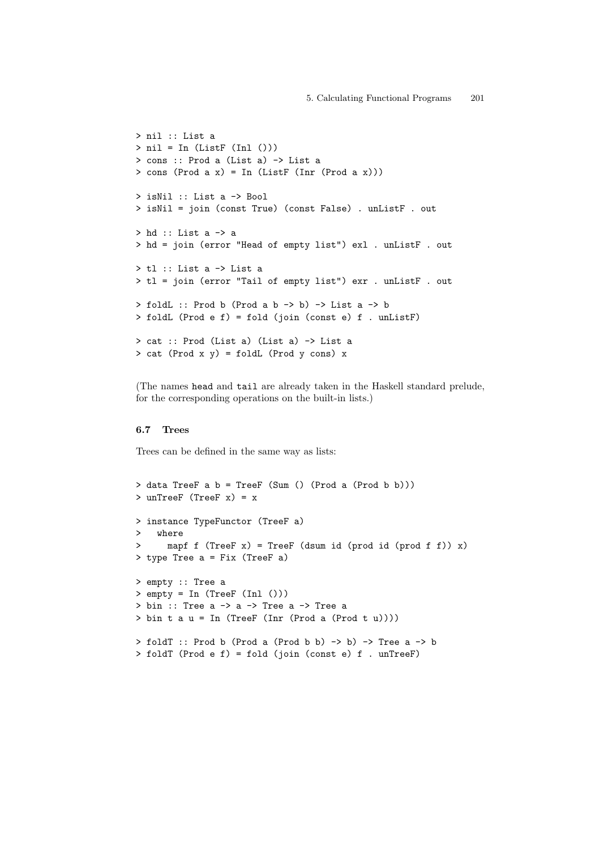```
> nil :: List a
> nil = In (ListF (Inl ()))
> cons :: Prod a (List a) -> List a
> cons (Prod a x) = In (ListF (Inr (Prod a x)))
> isNil :: List a -> Bool
> isNil = join (const True) (const False) . unListF . out
> hd :: List a -> a
> hd = join (error "Head of empty list") exl . unListF . out
> tl :: List a -> List a
> tl = join (error "Tail of empty list") exr . unListF . out
> foldL :: Prod b (Prod a b -> b) -> List a -> b
> foldL (Prod e f) = fold (join (const e) f . unListF)
> cat :: Prod (List a) (List a) -> List a
> cat (Prod x y) = foldL (Prod y cons) x
```
(The names head and tail are already taken in the Haskell standard prelude, for the corresponding operations on the built-in lists.)

#### **6.7 Trees**

Trees can be defined in the same way as lists:

```
> data TreeF a b = TreeF (Sum () (Prod a (Prod b b)))
> unTreeF (TreeF x) = x
> instance TypeFunctor (TreeF a)
> where
> mapf f (TreeF x) = TreeF (dsum id (prod id (prod f f)) x)
> type Tree a = Fix (TreeF a)
> empty :: Tree a
> empty = In (TreeF (Inl ()))
> bin :: Tree a -> a -> Tree a -> Tree a
> bin t a u = In (TreeF (Inr (Prod a (Prod t u))))
> foldT :: Prod b (Prod a (Prod b b) -> b) -> Tree a -> b
> foldT (Prod e f) = fold (join (const e) f . unTreeF)
```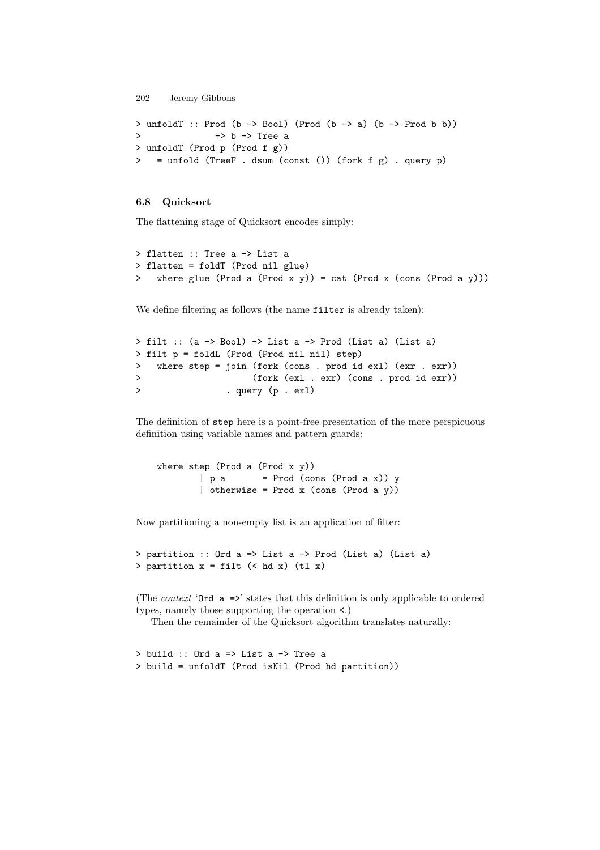```
202 Jeremy Gibbons
> unfoldT :: Prod (b -> Bool) (Prod (b -> a) (b -> Prod b b))
> -> b -> Tree a
> unfoldT (Prod p (Prod f g))
> = unfold (TreeF . dsum (const ()) (fork f g) . query p)
```
### **6.8 Quicksort**

The flattening stage of Quicksort encodes simply:

```
> flatten :: Tree a -> List a
> flatten = foldT (Prod nil glue)
> where glue (Prod a (Prod x y)) = cat (Prod x (cons (Prod a y)))
```
We define filtering as follows (the name filter is already taken):

```
> filt :: (a -> Bool) -> List a -> Prod (List a) (List a)
> filt p = foldL (Prod (Prod nil nil) step)
> where step = join (fork (cons . prod id exl) (exr . exr))
> (fork (exl . exr) (cons . prod id exr))
> . query (p . exl)
```
The definition of step here is a point-free presentation of the more perspicuous definition using variable names and pattern guards:

```
where step (Prod a (Prod x y))
       | p a = Prod (cons (Prod a x)) y
        | otherwise = Proof x (cons (Prod a y))
```
Now partitioning a non-empty list is an application of filter:

```
> partition :: Ord a => List a -> Prod (List a) (List a)
> partition x = filt (< hd x) (tl x)
```
(The *context* 'Ord a =>' states that this definition is only applicable to ordered types, namely those supporting the operation <.)

Then the remainder of the Quicksort algorithm translates naturally:

```
> build :: Ord a => List a -> Tree a
> build = unfoldT (Prod isNil (Prod hd partition))
```